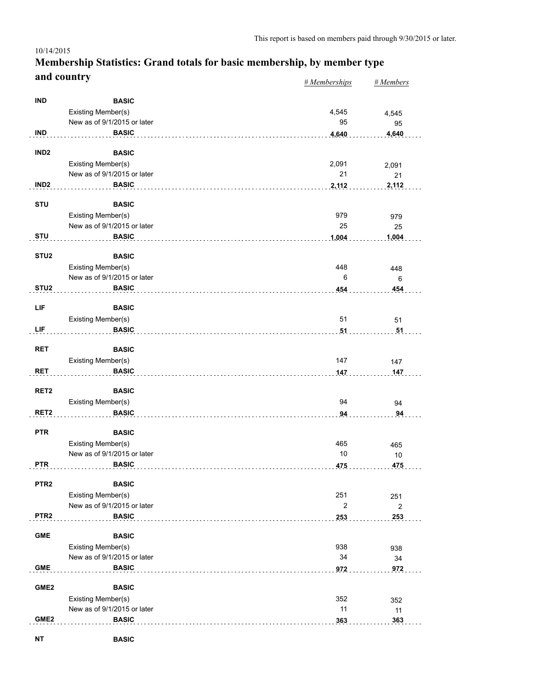#### *# Memberships # Members* **Membership Statistics: Grand totals for basic membership, by member type and country** 10/14/2015

| <b>IND</b><br><b>BASIC</b><br>Existing Member(s)<br>4,545<br>4,545<br>New as of 9/1/2015 or later<br>95<br>95<br><b>IND</b><br><b>BASIC</b><br>4,640<br>4,640<br>IND <sub>2</sub><br><b>BASIC</b><br>Existing Member(s)<br>2,091<br>2,091<br>New as of 9/1/2015 or later<br>21<br>21<br>IND <sub>2</sub><br><b>BASIC</b><br>2,112<br>2,112<br><b>STU</b><br><b>BASIC</b><br>Existing Member(s)<br>979<br>979<br>New as of 9/1/2015 or later<br>25<br>25<br><b>STU</b><br><b>BASIC</b><br>1,004<br>1,004<br>STU <sub>2</sub><br><b>BASIC</b><br>Existing Member(s)<br>448<br>448<br>New as of 9/1/2015 or later<br>6<br>6<br>STU <sub>2</sub><br><b>BASIC</b><br>454<br>454<br>LIF<br><b>BASIC</b><br>51<br>Existing Member(s)<br>51<br>LIF<br><b>BASIC</b><br>51<br>51<br><b>RET</b><br><b>BASIC</b><br>147<br>Existing Member(s)<br>147<br><b>RET</b><br><b>BASIC</b><br>147<br>147<br>RET <sub>2</sub><br><b>BASIC</b><br>Existing Member(s)<br>94<br>94<br>RET <sub>2</sub><br><b>BASIC</b><br>94<br>94<br><b>PTR</b><br><b>BASIC</b><br>Existing Member(s)<br>465<br>465<br>New as of 9/1/2015 or later<br>10<br>10<br><b>BASIC</b><br><b>PTR</b><br>475<br>475<br>PTR <sub>2</sub><br><b>BASIC</b><br>Existing Member(s)<br>251<br>251<br>$\overline{c}$<br>New as of 9/1/2015 or later<br>$\overline{c}$<br>PTR <sub>2</sub><br><b>BASIC</b><br>253<br>253<br><b>GME</b><br><b>BASIC</b><br>Existing Member(s)<br>938<br>938<br>New as of 9/1/2015 or later<br>34<br>34<br><b>GME</b><br><b>BASIC</b><br>972<br>972<br>GME <sub>2</sub><br><b>BASIC</b><br>Existing Member(s)<br>352<br>352<br>New as of 9/1/2015 or later<br>11<br>11<br>GME <sub>2</sub><br><b>BASIC</b><br>363<br>363 |  | $n$ <i>includer ships</i> | " <b>MOMOCI</b> |
|------------------------------------------------------------------------------------------------------------------------------------------------------------------------------------------------------------------------------------------------------------------------------------------------------------------------------------------------------------------------------------------------------------------------------------------------------------------------------------------------------------------------------------------------------------------------------------------------------------------------------------------------------------------------------------------------------------------------------------------------------------------------------------------------------------------------------------------------------------------------------------------------------------------------------------------------------------------------------------------------------------------------------------------------------------------------------------------------------------------------------------------------------------------------------------------------------------------------------------------------------------------------------------------------------------------------------------------------------------------------------------------------------------------------------------------------------------------------------------------------------------------------------------------------------------------------------------------------------------------------------------------------------------------------------------------------|--|---------------------------|-----------------|
|                                                                                                                                                                                                                                                                                                                                                                                                                                                                                                                                                                                                                                                                                                                                                                                                                                                                                                                                                                                                                                                                                                                                                                                                                                                                                                                                                                                                                                                                                                                                                                                                                                                                                                |  |                           |                 |
|                                                                                                                                                                                                                                                                                                                                                                                                                                                                                                                                                                                                                                                                                                                                                                                                                                                                                                                                                                                                                                                                                                                                                                                                                                                                                                                                                                                                                                                                                                                                                                                                                                                                                                |  |                           |                 |
|                                                                                                                                                                                                                                                                                                                                                                                                                                                                                                                                                                                                                                                                                                                                                                                                                                                                                                                                                                                                                                                                                                                                                                                                                                                                                                                                                                                                                                                                                                                                                                                                                                                                                                |  |                           |                 |
|                                                                                                                                                                                                                                                                                                                                                                                                                                                                                                                                                                                                                                                                                                                                                                                                                                                                                                                                                                                                                                                                                                                                                                                                                                                                                                                                                                                                                                                                                                                                                                                                                                                                                                |  |                           |                 |
|                                                                                                                                                                                                                                                                                                                                                                                                                                                                                                                                                                                                                                                                                                                                                                                                                                                                                                                                                                                                                                                                                                                                                                                                                                                                                                                                                                                                                                                                                                                                                                                                                                                                                                |  |                           |                 |
|                                                                                                                                                                                                                                                                                                                                                                                                                                                                                                                                                                                                                                                                                                                                                                                                                                                                                                                                                                                                                                                                                                                                                                                                                                                                                                                                                                                                                                                                                                                                                                                                                                                                                                |  |                           |                 |
|                                                                                                                                                                                                                                                                                                                                                                                                                                                                                                                                                                                                                                                                                                                                                                                                                                                                                                                                                                                                                                                                                                                                                                                                                                                                                                                                                                                                                                                                                                                                                                                                                                                                                                |  |                           |                 |
|                                                                                                                                                                                                                                                                                                                                                                                                                                                                                                                                                                                                                                                                                                                                                                                                                                                                                                                                                                                                                                                                                                                                                                                                                                                                                                                                                                                                                                                                                                                                                                                                                                                                                                |  |                           |                 |
|                                                                                                                                                                                                                                                                                                                                                                                                                                                                                                                                                                                                                                                                                                                                                                                                                                                                                                                                                                                                                                                                                                                                                                                                                                                                                                                                                                                                                                                                                                                                                                                                                                                                                                |  |                           |                 |
|                                                                                                                                                                                                                                                                                                                                                                                                                                                                                                                                                                                                                                                                                                                                                                                                                                                                                                                                                                                                                                                                                                                                                                                                                                                                                                                                                                                                                                                                                                                                                                                                                                                                                                |  |                           |                 |
|                                                                                                                                                                                                                                                                                                                                                                                                                                                                                                                                                                                                                                                                                                                                                                                                                                                                                                                                                                                                                                                                                                                                                                                                                                                                                                                                                                                                                                                                                                                                                                                                                                                                                                |  |                           |                 |
|                                                                                                                                                                                                                                                                                                                                                                                                                                                                                                                                                                                                                                                                                                                                                                                                                                                                                                                                                                                                                                                                                                                                                                                                                                                                                                                                                                                                                                                                                                                                                                                                                                                                                                |  |                           |                 |
|                                                                                                                                                                                                                                                                                                                                                                                                                                                                                                                                                                                                                                                                                                                                                                                                                                                                                                                                                                                                                                                                                                                                                                                                                                                                                                                                                                                                                                                                                                                                                                                                                                                                                                |  |                           |                 |
|                                                                                                                                                                                                                                                                                                                                                                                                                                                                                                                                                                                                                                                                                                                                                                                                                                                                                                                                                                                                                                                                                                                                                                                                                                                                                                                                                                                                                                                                                                                                                                                                                                                                                                |  |                           |                 |
|                                                                                                                                                                                                                                                                                                                                                                                                                                                                                                                                                                                                                                                                                                                                                                                                                                                                                                                                                                                                                                                                                                                                                                                                                                                                                                                                                                                                                                                                                                                                                                                                                                                                                                |  |                           |                 |
|                                                                                                                                                                                                                                                                                                                                                                                                                                                                                                                                                                                                                                                                                                                                                                                                                                                                                                                                                                                                                                                                                                                                                                                                                                                                                                                                                                                                                                                                                                                                                                                                                                                                                                |  |                           |                 |
|                                                                                                                                                                                                                                                                                                                                                                                                                                                                                                                                                                                                                                                                                                                                                                                                                                                                                                                                                                                                                                                                                                                                                                                                                                                                                                                                                                                                                                                                                                                                                                                                                                                                                                |  |                           |                 |
|                                                                                                                                                                                                                                                                                                                                                                                                                                                                                                                                                                                                                                                                                                                                                                                                                                                                                                                                                                                                                                                                                                                                                                                                                                                                                                                                                                                                                                                                                                                                                                                                                                                                                                |  |                           |                 |
|                                                                                                                                                                                                                                                                                                                                                                                                                                                                                                                                                                                                                                                                                                                                                                                                                                                                                                                                                                                                                                                                                                                                                                                                                                                                                                                                                                                                                                                                                                                                                                                                                                                                                                |  |                           |                 |
|                                                                                                                                                                                                                                                                                                                                                                                                                                                                                                                                                                                                                                                                                                                                                                                                                                                                                                                                                                                                                                                                                                                                                                                                                                                                                                                                                                                                                                                                                                                                                                                                                                                                                                |  |                           |                 |
|                                                                                                                                                                                                                                                                                                                                                                                                                                                                                                                                                                                                                                                                                                                                                                                                                                                                                                                                                                                                                                                                                                                                                                                                                                                                                                                                                                                                                                                                                                                                                                                                                                                                                                |  |                           |                 |
|                                                                                                                                                                                                                                                                                                                                                                                                                                                                                                                                                                                                                                                                                                                                                                                                                                                                                                                                                                                                                                                                                                                                                                                                                                                                                                                                                                                                                                                                                                                                                                                                                                                                                                |  |                           |                 |
|                                                                                                                                                                                                                                                                                                                                                                                                                                                                                                                                                                                                                                                                                                                                                                                                                                                                                                                                                                                                                                                                                                                                                                                                                                                                                                                                                                                                                                                                                                                                                                                                                                                                                                |  |                           |                 |
|                                                                                                                                                                                                                                                                                                                                                                                                                                                                                                                                                                                                                                                                                                                                                                                                                                                                                                                                                                                                                                                                                                                                                                                                                                                                                                                                                                                                                                                                                                                                                                                                                                                                                                |  |                           |                 |
|                                                                                                                                                                                                                                                                                                                                                                                                                                                                                                                                                                                                                                                                                                                                                                                                                                                                                                                                                                                                                                                                                                                                                                                                                                                                                                                                                                                                                                                                                                                                                                                                                                                                                                |  |                           |                 |
|                                                                                                                                                                                                                                                                                                                                                                                                                                                                                                                                                                                                                                                                                                                                                                                                                                                                                                                                                                                                                                                                                                                                                                                                                                                                                                                                                                                                                                                                                                                                                                                                                                                                                                |  |                           |                 |
|                                                                                                                                                                                                                                                                                                                                                                                                                                                                                                                                                                                                                                                                                                                                                                                                                                                                                                                                                                                                                                                                                                                                                                                                                                                                                                                                                                                                                                                                                                                                                                                                                                                                                                |  |                           |                 |
|                                                                                                                                                                                                                                                                                                                                                                                                                                                                                                                                                                                                                                                                                                                                                                                                                                                                                                                                                                                                                                                                                                                                                                                                                                                                                                                                                                                                                                                                                                                                                                                                                                                                                                |  |                           |                 |
|                                                                                                                                                                                                                                                                                                                                                                                                                                                                                                                                                                                                                                                                                                                                                                                                                                                                                                                                                                                                                                                                                                                                                                                                                                                                                                                                                                                                                                                                                                                                                                                                                                                                                                |  |                           |                 |
|                                                                                                                                                                                                                                                                                                                                                                                                                                                                                                                                                                                                                                                                                                                                                                                                                                                                                                                                                                                                                                                                                                                                                                                                                                                                                                                                                                                                                                                                                                                                                                                                                                                                                                |  |                           |                 |
|                                                                                                                                                                                                                                                                                                                                                                                                                                                                                                                                                                                                                                                                                                                                                                                                                                                                                                                                                                                                                                                                                                                                                                                                                                                                                                                                                                                                                                                                                                                                                                                                                                                                                                |  |                           |                 |
|                                                                                                                                                                                                                                                                                                                                                                                                                                                                                                                                                                                                                                                                                                                                                                                                                                                                                                                                                                                                                                                                                                                                                                                                                                                                                                                                                                                                                                                                                                                                                                                                                                                                                                |  |                           |                 |
|                                                                                                                                                                                                                                                                                                                                                                                                                                                                                                                                                                                                                                                                                                                                                                                                                                                                                                                                                                                                                                                                                                                                                                                                                                                                                                                                                                                                                                                                                                                                                                                                                                                                                                |  |                           |                 |
|                                                                                                                                                                                                                                                                                                                                                                                                                                                                                                                                                                                                                                                                                                                                                                                                                                                                                                                                                                                                                                                                                                                                                                                                                                                                                                                                                                                                                                                                                                                                                                                                                                                                                                |  |                           |                 |
|                                                                                                                                                                                                                                                                                                                                                                                                                                                                                                                                                                                                                                                                                                                                                                                                                                                                                                                                                                                                                                                                                                                                                                                                                                                                                                                                                                                                                                                                                                                                                                                                                                                                                                |  |                           |                 |
|                                                                                                                                                                                                                                                                                                                                                                                                                                                                                                                                                                                                                                                                                                                                                                                                                                                                                                                                                                                                                                                                                                                                                                                                                                                                                                                                                                                                                                                                                                                                                                                                                                                                                                |  |                           |                 |
|                                                                                                                                                                                                                                                                                                                                                                                                                                                                                                                                                                                                                                                                                                                                                                                                                                                                                                                                                                                                                                                                                                                                                                                                                                                                                                                                                                                                                                                                                                                                                                                                                                                                                                |  |                           |                 |
|                                                                                                                                                                                                                                                                                                                                                                                                                                                                                                                                                                                                                                                                                                                                                                                                                                                                                                                                                                                                                                                                                                                                                                                                                                                                                                                                                                                                                                                                                                                                                                                                                                                                                                |  |                           |                 |
|                                                                                                                                                                                                                                                                                                                                                                                                                                                                                                                                                                                                                                                                                                                                                                                                                                                                                                                                                                                                                                                                                                                                                                                                                                                                                                                                                                                                                                                                                                                                                                                                                                                                                                |  |                           |                 |
|                                                                                                                                                                                                                                                                                                                                                                                                                                                                                                                                                                                                                                                                                                                                                                                                                                                                                                                                                                                                                                                                                                                                                                                                                                                                                                                                                                                                                                                                                                                                                                                                                                                                                                |  |                           |                 |
|                                                                                                                                                                                                                                                                                                                                                                                                                                                                                                                                                                                                                                                                                                                                                                                                                                                                                                                                                                                                                                                                                                                                                                                                                                                                                                                                                                                                                                                                                                                                                                                                                                                                                                |  |                           |                 |
|                                                                                                                                                                                                                                                                                                                                                                                                                                                                                                                                                                                                                                                                                                                                                                                                                                                                                                                                                                                                                                                                                                                                                                                                                                                                                                                                                                                                                                                                                                                                                                                                                                                                                                |  |                           |                 |
|                                                                                                                                                                                                                                                                                                                                                                                                                                                                                                                                                                                                                                                                                                                                                                                                                                                                                                                                                                                                                                                                                                                                                                                                                                                                                                                                                                                                                                                                                                                                                                                                                                                                                                |  |                           |                 |
|                                                                                                                                                                                                                                                                                                                                                                                                                                                                                                                                                                                                                                                                                                                                                                                                                                                                                                                                                                                                                                                                                                                                                                                                                                                                                                                                                                                                                                                                                                                                                                                                                                                                                                |  |                           |                 |
|                                                                                                                                                                                                                                                                                                                                                                                                                                                                                                                                                                                                                                                                                                                                                                                                                                                                                                                                                                                                                                                                                                                                                                                                                                                                                                                                                                                                                                                                                                                                                                                                                                                                                                |  |                           |                 |
|                                                                                                                                                                                                                                                                                                                                                                                                                                                                                                                                                                                                                                                                                                                                                                                                                                                                                                                                                                                                                                                                                                                                                                                                                                                                                                                                                                                                                                                                                                                                                                                                                                                                                                |  |                           |                 |
|                                                                                                                                                                                                                                                                                                                                                                                                                                                                                                                                                                                                                                                                                                                                                                                                                                                                                                                                                                                                                                                                                                                                                                                                                                                                                                                                                                                                                                                                                                                                                                                                                                                                                                |  |                           |                 |
|                                                                                                                                                                                                                                                                                                                                                                                                                                                                                                                                                                                                                                                                                                                                                                                                                                                                                                                                                                                                                                                                                                                                                                                                                                                                                                                                                                                                                                                                                                                                                                                                                                                                                                |  |                           |                 |
|                                                                                                                                                                                                                                                                                                                                                                                                                                                                                                                                                                                                                                                                                                                                                                                                                                                                                                                                                                                                                                                                                                                                                                                                                                                                                                                                                                                                                                                                                                                                                                                                                                                                                                |  |                           |                 |
|                                                                                                                                                                                                                                                                                                                                                                                                                                                                                                                                                                                                                                                                                                                                                                                                                                                                                                                                                                                                                                                                                                                                                                                                                                                                                                                                                                                                                                                                                                                                                                                                                                                                                                |  |                           |                 |
|                                                                                                                                                                                                                                                                                                                                                                                                                                                                                                                                                                                                                                                                                                                                                                                                                                                                                                                                                                                                                                                                                                                                                                                                                                                                                                                                                                                                                                                                                                                                                                                                                                                                                                |  |                           |                 |
|                                                                                                                                                                                                                                                                                                                                                                                                                                                                                                                                                                                                                                                                                                                                                                                                                                                                                                                                                                                                                                                                                                                                                                                                                                                                                                                                                                                                                                                                                                                                                                                                                                                                                                |  |                           |                 |

**NT BASIC**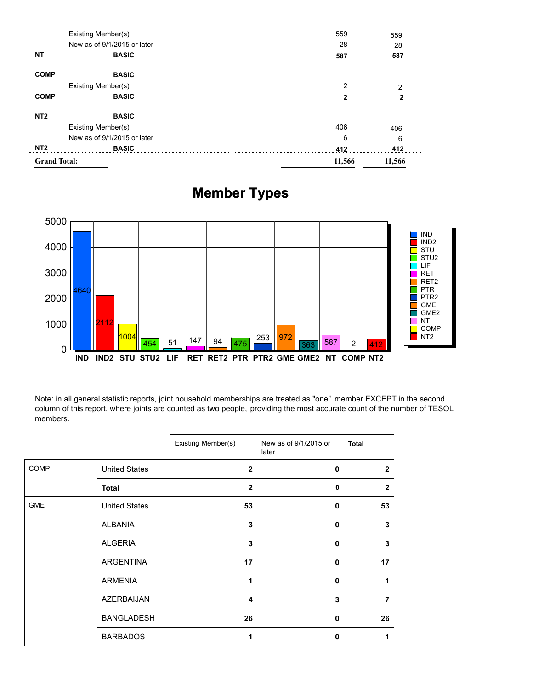| <b>Grand Total:</b> |                             | 11,566       | 11,566         |
|---------------------|-----------------------------|--------------|----------------|
| NT <sub>2</sub>     | <b>BASIC</b>                | 412          | 412            |
|                     | New as of 9/1/2015 or later | 6            | 6              |
|                     | Existing Member(s)          | 406          | 406            |
| NT <sub>2</sub>     | <b>BASIC</b>                |              |                |
| <b>COMP</b>         | <b>BASIC</b>                | $\mathbf{2}$ | $\mathbf{2}$   |
|                     | Existing Member(s)          | 2            | $\overline{2}$ |
| <b>COMP</b>         | <b>BASIC</b>                |              |                |
| <b>NT</b>           | <b>BASIC</b>                | 587          | 587            |
|                     | New as of 9/1/2015 or later | 28           | 28             |
|                     | Existing Member(s)          | 559          | 559            |

# **Member Types**



Note: in all general statistic reports, joint household memberships are treated as "one" member EXCEPT in the second column of this report, where joints are counted as two people, providing the most accurate count of the number of TESOL members.

|            |                      | Existing Member(s) | New as of 9/1/2015 or<br>later | <b>Total</b>   |
|------------|----------------------|--------------------|--------------------------------|----------------|
| COMP       | <b>United States</b> | $\mathbf{2}$       | 0                              | $\overline{2}$ |
|            | <b>Total</b>         | $\overline{2}$     | 0                              | $\overline{2}$ |
| <b>GME</b> | <b>United States</b> | 53                 | 0                              | 53             |
|            | <b>ALBANIA</b>       | 3                  | $\mathbf{0}$                   | 3              |
|            | <b>ALGERIA</b>       | 3                  | 0                              | 3              |
|            | <b>ARGENTINA</b>     | 17                 | $\mathbf{0}$                   | 17             |
|            | <b>ARMENIA</b>       | 1                  | 0                              | 1              |
|            | <b>AZERBAIJAN</b>    | 4                  | 3                              | 7              |
|            | <b>BANGLADESH</b>    | 26                 | $\bf{0}$                       | 26             |
|            | <b>BARBADOS</b>      | 1                  | 0                              | 1              |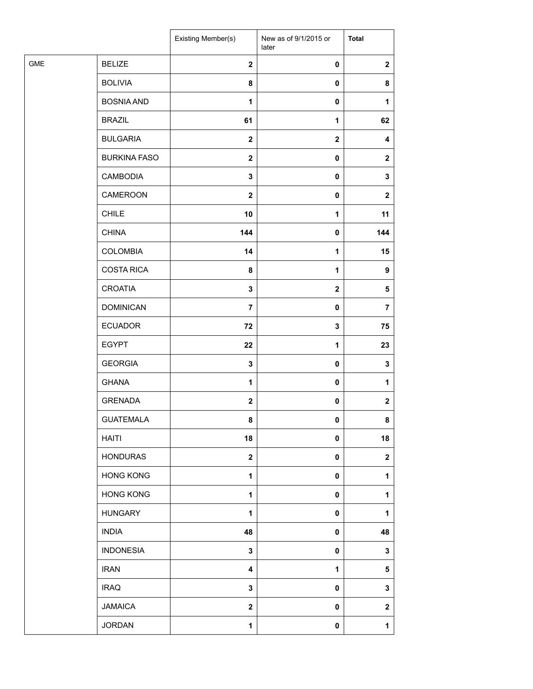|            |                     | Existing Member(s) | New as of 9/1/2015 or<br>later | <b>Total</b>     |
|------------|---------------------|--------------------|--------------------------------|------------------|
| <b>GME</b> | <b>BELIZE</b>       | $\mathbf{2}$       | $\pmb{0}$                      | $\mathbf{2}$     |
|            | <b>BOLIVIA</b>      | 8                  | $\pmb{0}$                      | 8                |
|            | <b>BOSNIA AND</b>   | $\mathbf{1}$       | $\pmb{0}$                      | 1                |
|            | <b>BRAZIL</b>       | 61                 | 1                              | 62               |
|            | <b>BULGARIA</b>     | $\mathbf{2}$       | $\mathbf{2}$                   | 4                |
|            | <b>BURKINA FASO</b> | $\mathbf 2$        | $\pmb{0}$                      | $\mathbf{2}$     |
|            | <b>CAMBODIA</b>     | $\mathbf 3$        | $\pmb{0}$                      | 3                |
|            | CAMEROON            | $\mathbf{2}$       | $\pmb{0}$                      | $\mathbf{2}$     |
|            | <b>CHILE</b>        | 10                 | 1                              | 11               |
|            | <b>CHINA</b>        | 144                | 0                              | 144              |
|            | <b>COLOMBIA</b>     | 14                 | $\mathbf{1}$                   | 15               |
|            | <b>COSTA RICA</b>   | 8                  | $\mathbf{1}$                   | 9                |
|            | <b>CROATIA</b>      | $\mathbf 3$        | $\mathbf{2}$                   | $\sqrt{5}$       |
|            | <b>DOMINICAN</b>    | $\overline{7}$     | $\pmb{0}$                      | $\overline{7}$   |
|            | <b>ECUADOR</b>      | 72                 | 3                              | 75               |
|            | <b>EGYPT</b>        | 22                 | 1                              | 23               |
|            | <b>GEORGIA</b>      | $\mathbf 3$        | $\pmb{0}$                      | $\mathbf 3$      |
|            | <b>GHANA</b>        | $\mathbf{1}$       | $\pmb{0}$                      | 1                |
|            | <b>GRENADA</b>      | $\mathbf{2}$       | $\pmb{0}$                      | $\mathbf 2$      |
|            | <b>GUATEMALA</b>    | 8                  | $\pmb{0}$                      | 8                |
|            | <b>HAITI</b>        | 18                 | $\pmb{0}$                      | 18               |
|            | <b>HONDURAS</b>     | $\boldsymbol{2}$   | $\pmb{0}$                      | $\boldsymbol{2}$ |
|            | <b>HONG KONG</b>    | 1                  | $\pmb{0}$                      | 1                |
|            | <b>HONG KONG</b>    | $\mathbf{1}$       | $\pmb{0}$                      | 1                |
|            | <b>HUNGARY</b>      | 1                  | $\pmb{0}$                      | 1                |
|            | <b>INDIA</b>        | 48                 | $\pmb{0}$                      | 48               |
|            | <b>INDONESIA</b>    | $\mathbf 3$        | $\pmb{0}$                      | 3                |
|            | <b>IRAN</b>         | 4                  | 1                              | 5                |
|            | <b>IRAQ</b>         | $\mathbf 3$        | $\pmb{0}$                      | 3                |
|            | <b>JAMAICA</b>      | $\boldsymbol{2}$   | $\pmb{0}$                      | $\mathbf 2$      |
|            | <b>JORDAN</b>       | $\mathbf{1}$       | $\pmb{0}$                      | 1                |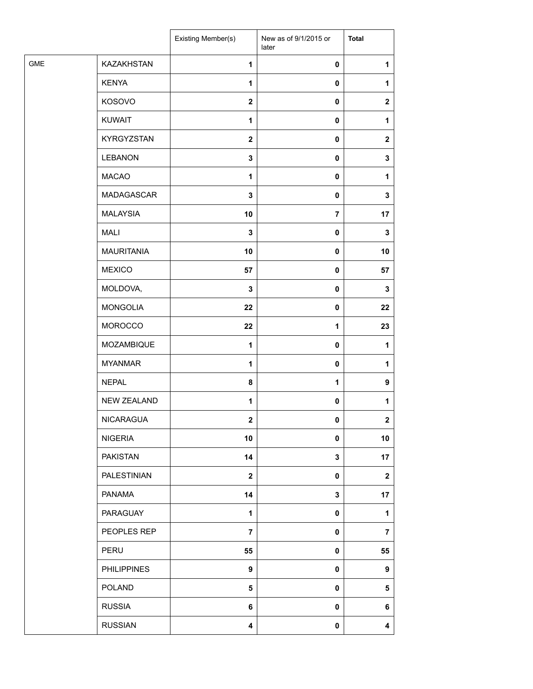| KAZAKHSTAN<br>$\mathbf{1}$<br>0<br>1<br><b>KENYA</b><br>$\mathbf{1}$<br>0<br>1<br>KOSOVO<br>$\mathbf{2}$<br>0<br>$\boldsymbol{2}$<br><b>KUWAIT</b><br>$\mathbf{1}$<br>0<br>1<br><b>KYRGYZSTAN</b><br>$\mathbf{2}$<br>0<br>$\mathbf 2$<br><b>LEBANON</b><br>$\mathbf 3$<br>0<br>3<br><b>MACAO</b><br>1<br>0<br>1<br>MADAGASCAR<br>3<br>0<br>3<br><b>MALAYSIA</b><br>10<br>$\overline{\mathbf{7}}$<br>17<br><b>MALI</b><br>$\mathbf 3$<br>0<br>3<br><b>MAURITANIA</b><br>10<br>0<br>10<br><b>MEXICO</b><br>57<br>0<br>57<br>MOLDOVA,<br>$\mathbf 3$<br>0<br>3<br><b>MONGOLIA</b><br>22<br>0<br>22<br><b>MOROCCO</b><br>22<br>1<br>23<br>MOZAMBIQUE<br>$\mathbf{1}$<br>$\mathbf{1}$<br>0<br><b>MYANMAR</b><br>$\mathbf{1}$<br>0<br>1<br><b>NEPAL</b><br>8<br>1<br>9<br><b>NEW ZEALAND</b><br>$\mathbf{1}$<br>$\pmb{0}$<br>1<br>NICARAGUA<br>$\mathbf{2}$<br>$\overline{2}$<br>0<br><b>NIGERIA</b><br>10<br>0<br>10<br><b>PAKISTAN</b><br>14<br>$\mathbf 3$<br>17<br><b>PALESTINIAN</b><br>$\mathbf{2}$<br>0<br>$\mathbf 2$<br><b>PANAMA</b><br>14<br>3<br>17<br>PARAGUAY<br>$\mathbf 1$<br>0<br>1<br>PEOPLES REP<br>$\overline{7}$<br>$\overline{\mathbf{7}}$<br>0<br>PERU<br>55<br>0<br>55<br><b>PHILIPPINES</b><br>$\boldsymbol{9}$<br>$\boldsymbol{9}$<br>0<br><b>POLAND</b><br>5<br>0<br>5<br><b>RUSSIA</b><br>6<br>0<br>6<br><b>RUSSIAN</b><br>$\overline{\mathbf{4}}$<br>0<br>4 |            | Existing Member(s) | New as of 9/1/2015 or<br>later | <b>Total</b> |
|------------------------------------------------------------------------------------------------------------------------------------------------------------------------------------------------------------------------------------------------------------------------------------------------------------------------------------------------------------------------------------------------------------------------------------------------------------------------------------------------------------------------------------------------------------------------------------------------------------------------------------------------------------------------------------------------------------------------------------------------------------------------------------------------------------------------------------------------------------------------------------------------------------------------------------------------------------------------------------------------------------------------------------------------------------------------------------------------------------------------------------------------------------------------------------------------------------------------------------------------------------------------------------------------------------------------------------------------------------------------------------|------------|--------------------|--------------------------------|--------------|
|                                                                                                                                                                                                                                                                                                                                                                                                                                                                                                                                                                                                                                                                                                                                                                                                                                                                                                                                                                                                                                                                                                                                                                                                                                                                                                                                                                                    | <b>GME</b> |                    |                                |              |
|                                                                                                                                                                                                                                                                                                                                                                                                                                                                                                                                                                                                                                                                                                                                                                                                                                                                                                                                                                                                                                                                                                                                                                                                                                                                                                                                                                                    |            |                    |                                |              |
|                                                                                                                                                                                                                                                                                                                                                                                                                                                                                                                                                                                                                                                                                                                                                                                                                                                                                                                                                                                                                                                                                                                                                                                                                                                                                                                                                                                    |            |                    |                                |              |
|                                                                                                                                                                                                                                                                                                                                                                                                                                                                                                                                                                                                                                                                                                                                                                                                                                                                                                                                                                                                                                                                                                                                                                                                                                                                                                                                                                                    |            |                    |                                |              |
|                                                                                                                                                                                                                                                                                                                                                                                                                                                                                                                                                                                                                                                                                                                                                                                                                                                                                                                                                                                                                                                                                                                                                                                                                                                                                                                                                                                    |            |                    |                                |              |
|                                                                                                                                                                                                                                                                                                                                                                                                                                                                                                                                                                                                                                                                                                                                                                                                                                                                                                                                                                                                                                                                                                                                                                                                                                                                                                                                                                                    |            |                    |                                |              |
|                                                                                                                                                                                                                                                                                                                                                                                                                                                                                                                                                                                                                                                                                                                                                                                                                                                                                                                                                                                                                                                                                                                                                                                                                                                                                                                                                                                    |            |                    |                                |              |
|                                                                                                                                                                                                                                                                                                                                                                                                                                                                                                                                                                                                                                                                                                                                                                                                                                                                                                                                                                                                                                                                                                                                                                                                                                                                                                                                                                                    |            |                    |                                |              |
|                                                                                                                                                                                                                                                                                                                                                                                                                                                                                                                                                                                                                                                                                                                                                                                                                                                                                                                                                                                                                                                                                                                                                                                                                                                                                                                                                                                    |            |                    |                                |              |
|                                                                                                                                                                                                                                                                                                                                                                                                                                                                                                                                                                                                                                                                                                                                                                                                                                                                                                                                                                                                                                                                                                                                                                                                                                                                                                                                                                                    |            |                    |                                |              |
|                                                                                                                                                                                                                                                                                                                                                                                                                                                                                                                                                                                                                                                                                                                                                                                                                                                                                                                                                                                                                                                                                                                                                                                                                                                                                                                                                                                    |            |                    |                                |              |
|                                                                                                                                                                                                                                                                                                                                                                                                                                                                                                                                                                                                                                                                                                                                                                                                                                                                                                                                                                                                                                                                                                                                                                                                                                                                                                                                                                                    |            |                    |                                |              |
|                                                                                                                                                                                                                                                                                                                                                                                                                                                                                                                                                                                                                                                                                                                                                                                                                                                                                                                                                                                                                                                                                                                                                                                                                                                                                                                                                                                    |            |                    |                                |              |
|                                                                                                                                                                                                                                                                                                                                                                                                                                                                                                                                                                                                                                                                                                                                                                                                                                                                                                                                                                                                                                                                                                                                                                                                                                                                                                                                                                                    |            |                    |                                |              |
|                                                                                                                                                                                                                                                                                                                                                                                                                                                                                                                                                                                                                                                                                                                                                                                                                                                                                                                                                                                                                                                                                                                                                                                                                                                                                                                                                                                    |            |                    |                                |              |
|                                                                                                                                                                                                                                                                                                                                                                                                                                                                                                                                                                                                                                                                                                                                                                                                                                                                                                                                                                                                                                                                                                                                                                                                                                                                                                                                                                                    |            |                    |                                |              |
|                                                                                                                                                                                                                                                                                                                                                                                                                                                                                                                                                                                                                                                                                                                                                                                                                                                                                                                                                                                                                                                                                                                                                                                                                                                                                                                                                                                    |            |                    |                                |              |
|                                                                                                                                                                                                                                                                                                                                                                                                                                                                                                                                                                                                                                                                                                                                                                                                                                                                                                                                                                                                                                                                                                                                                                                                                                                                                                                                                                                    |            |                    |                                |              |
|                                                                                                                                                                                                                                                                                                                                                                                                                                                                                                                                                                                                                                                                                                                                                                                                                                                                                                                                                                                                                                                                                                                                                                                                                                                                                                                                                                                    |            |                    |                                |              |
|                                                                                                                                                                                                                                                                                                                                                                                                                                                                                                                                                                                                                                                                                                                                                                                                                                                                                                                                                                                                                                                                                                                                                                                                                                                                                                                                                                                    |            |                    |                                |              |
|                                                                                                                                                                                                                                                                                                                                                                                                                                                                                                                                                                                                                                                                                                                                                                                                                                                                                                                                                                                                                                                                                                                                                                                                                                                                                                                                                                                    |            |                    |                                |              |
|                                                                                                                                                                                                                                                                                                                                                                                                                                                                                                                                                                                                                                                                                                                                                                                                                                                                                                                                                                                                                                                                                                                                                                                                                                                                                                                                                                                    |            |                    |                                |              |
|                                                                                                                                                                                                                                                                                                                                                                                                                                                                                                                                                                                                                                                                                                                                                                                                                                                                                                                                                                                                                                                                                                                                                                                                                                                                                                                                                                                    |            |                    |                                |              |
|                                                                                                                                                                                                                                                                                                                                                                                                                                                                                                                                                                                                                                                                                                                                                                                                                                                                                                                                                                                                                                                                                                                                                                                                                                                                                                                                                                                    |            |                    |                                |              |
|                                                                                                                                                                                                                                                                                                                                                                                                                                                                                                                                                                                                                                                                                                                                                                                                                                                                                                                                                                                                                                                                                                                                                                                                                                                                                                                                                                                    |            |                    |                                |              |
|                                                                                                                                                                                                                                                                                                                                                                                                                                                                                                                                                                                                                                                                                                                                                                                                                                                                                                                                                                                                                                                                                                                                                                                                                                                                                                                                                                                    |            |                    |                                |              |
|                                                                                                                                                                                                                                                                                                                                                                                                                                                                                                                                                                                                                                                                                                                                                                                                                                                                                                                                                                                                                                                                                                                                                                                                                                                                                                                                                                                    |            |                    |                                |              |
|                                                                                                                                                                                                                                                                                                                                                                                                                                                                                                                                                                                                                                                                                                                                                                                                                                                                                                                                                                                                                                                                                                                                                                                                                                                                                                                                                                                    |            |                    |                                |              |
|                                                                                                                                                                                                                                                                                                                                                                                                                                                                                                                                                                                                                                                                                                                                                                                                                                                                                                                                                                                                                                                                                                                                                                                                                                                                                                                                                                                    |            |                    |                                |              |
|                                                                                                                                                                                                                                                                                                                                                                                                                                                                                                                                                                                                                                                                                                                                                                                                                                                                                                                                                                                                                                                                                                                                                                                                                                                                                                                                                                                    |            |                    |                                |              |
|                                                                                                                                                                                                                                                                                                                                                                                                                                                                                                                                                                                                                                                                                                                                                                                                                                                                                                                                                                                                                                                                                                                                                                                                                                                                                                                                                                                    |            |                    |                                |              |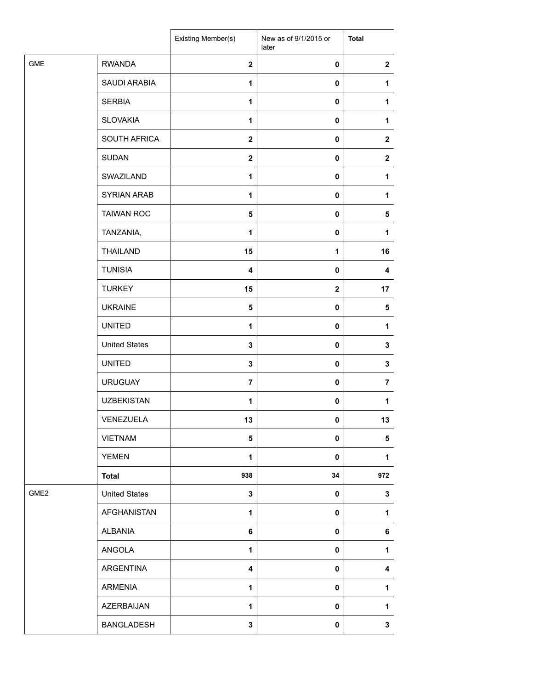|                  |                      | Existing Member(s)      | New as of 9/1/2015 or<br>later | <b>Total</b>     |
|------------------|----------------------|-------------------------|--------------------------------|------------------|
| <b>GME</b>       | <b>RWANDA</b>        | $\mathbf{2}$            | 0                              | $\mathbf 2$      |
|                  | SAUDI ARABIA         | 1                       | 0                              | 1                |
|                  | <b>SERBIA</b>        | 1                       | 0                              | 1                |
|                  | <b>SLOVAKIA</b>      | 1                       | 0                              | 1                |
|                  | SOUTH AFRICA         | $\mathbf{2}$            | 0                              | $\mathbf{2}$     |
|                  | <b>SUDAN</b>         | $\mathbf{2}$            | 0                              | $\boldsymbol{2}$ |
|                  | SWAZILAND            | 1                       | $\pmb{0}$                      | 1                |
|                  | <b>SYRIAN ARAB</b>   | 1                       | 0                              | 1                |
|                  | <b>TAIWAN ROC</b>    | 5                       | 0                              | 5                |
|                  | TANZANIA,            | 1                       | 0                              | 1                |
|                  | <b>THAILAND</b>      | 15                      | 1                              | 16               |
|                  | <b>TUNISIA</b>       | $\overline{\mathbf{4}}$ | $\pmb{0}$                      | 4                |
|                  | <b>TURKEY</b>        | 15                      | $\mathbf 2$                    | 17               |
|                  | <b>UKRAINE</b>       | 5                       | 0                              | 5                |
|                  | <b>UNITED</b>        | 1                       | 0                              | 1                |
|                  | <b>United States</b> | 3                       | 0                              | 3                |
|                  | <b>UNITED</b>        | 3                       | 0                              | $\mathbf 3$      |
|                  | <b>URUGUAY</b>       | $\overline{7}$          | 0                              | $\overline{7}$   |
|                  | <b>UZBEKISTAN</b>    | 1                       | 0                              | 1                |
|                  | VENEZUELA            | 13                      | 0                              | 13               |
|                  | <b>VIETNAM</b>       | 5                       | 0                              | 5                |
|                  | <b>YEMEN</b>         | 1                       | 0                              | $\mathbf{1}$     |
|                  | <b>Total</b>         | 938                     | 34                             | 972              |
| GME <sub>2</sub> | <b>United States</b> | 3                       | 0                              | $\mathbf 3$      |
|                  | AFGHANISTAN          | $\mathbf{1}$            | 0                              | 1                |
|                  | <b>ALBANIA</b>       | 6                       | 0                              | 6                |
|                  | ANGOLA               | 1                       | 0                              | 1                |
|                  | ARGENTINA            | 4                       | 0                              | 4                |
|                  | ARMENIA              | $\mathbf{1}$            | 0                              | $\mathbf{1}$     |
|                  | AZERBAIJAN           | $\mathbf{1}$            | 0                              | 1                |
|                  | BANGLADESH           | 3                       | 0                              | $\mathbf{3}$     |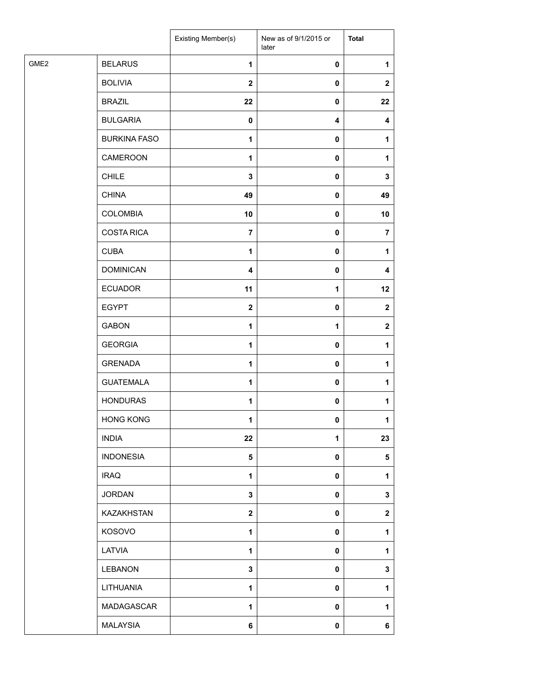|                                    | Existing Member(s) | New as of 9/1/2015 or<br>later | <b>Total</b>   |
|------------------------------------|--------------------|--------------------------------|----------------|
| GME <sub>2</sub><br><b>BELARUS</b> | $\mathbf{1}$       | $\pmb{0}$                      | 1              |
| <b>BOLIVIA</b>                     | $\mathbf{2}$       | $\pmb{0}$                      | $\mathbf{2}$   |
| <b>BRAZIL</b>                      | 22                 | $\pmb{0}$                      | 22             |
| <b>BULGARIA</b>                    | $\pmb{0}$          | 4                              | 4              |
| <b>BURKINA FASO</b>                | 1                  | 0                              | 1              |
| <b>CAMEROON</b>                    | 1                  | $\pmb{0}$                      | 1              |
| <b>CHILE</b>                       | $\mathbf 3$        | $\pmb{0}$                      | 3              |
| <b>CHINA</b>                       | 49                 | $\pmb{0}$                      | 49             |
| <b>COLOMBIA</b>                    | 10                 | $\pmb{0}$                      | 10             |
| <b>COSTA RICA</b>                  | $\overline{7}$     | $\pmb{0}$                      | $\overline{7}$ |
| <b>CUBA</b>                        | 1                  | $\pmb{0}$                      | 1              |
| <b>DOMINICAN</b>                   | 4                  | $\pmb{0}$                      | 4              |
| <b>ECUADOR</b>                     | 11                 | $\mathbf{1}$                   | 12             |
| <b>EGYPT</b>                       | $\boldsymbol{2}$   | $\pmb{0}$                      | $\mathbf{2}$   |
| <b>GABON</b>                       | 1                  | 1                              | $\mathbf{2}$   |
| <b>GEORGIA</b>                     | $\mathbf{1}$       | $\pmb{0}$                      | 1              |
| <b>GRENADA</b>                     | $\mathbf{1}$       | $\pmb{0}$                      | 1              |
| <b>GUATEMALA</b>                   | 1                  | $\pmb{0}$                      | 1              |
| <b>HONDURAS</b>                    | $\mathbf{1}$       | $\pmb{0}$                      | 1              |
| <b>HONG KONG</b>                   | 1                  | $\mathbf 0$                    | 1              |
| <b>INDIA</b>                       | 22                 | 1                              | 23             |
| <b>INDONESIA</b>                   | 5                  | $\pmb{0}$                      | $\sqrt{5}$     |
| <b>IRAQ</b>                        | $\mathbf{1}$       | $\pmb{0}$                      | 1              |
| <b>JORDAN</b>                      | $\mathbf 3$        | $\pmb{0}$                      | 3              |
| KAZAKHSTAN                         | $\mathbf 2$        | $\pmb{0}$                      | $\mathbf 2$    |
| KOSOVO                             | 1                  | 0                              | 1              |
| LATVIA                             | 1                  | $\pmb{0}$                      | 1              |
| <b>LEBANON</b>                     | $\mathbf 3$        | $\pmb{0}$                      | 3              |
| LITHUANIA                          | $\mathbf{1}$       | $\pmb{0}$                      | 1              |
| MADAGASCAR                         | 1                  | $\pmb{0}$                      | 1              |
| <b>MALAYSIA</b>                    | 6                  | $\pmb{0}$                      | 6              |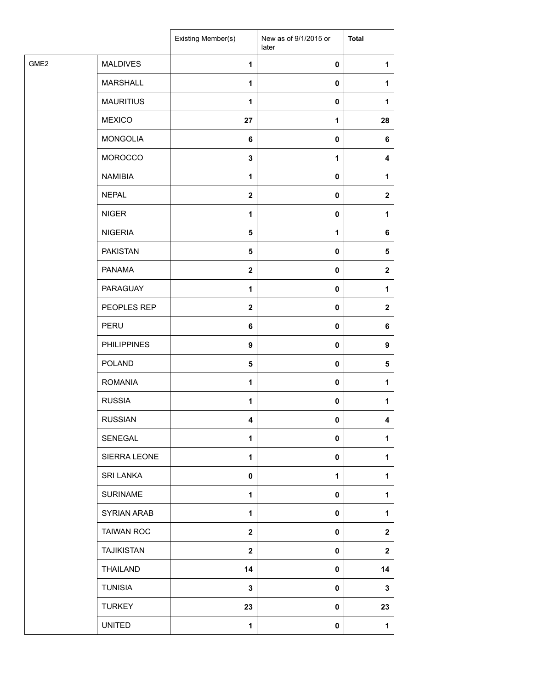|                  |                    | Existing Member(s) | New as of 9/1/2015 or<br>later | <b>Total</b> |
|------------------|--------------------|--------------------|--------------------------------|--------------|
| GME <sub>2</sub> | <b>MALDIVES</b>    | $\mathbf{1}$       | 0                              | 1            |
|                  | <b>MARSHALL</b>    | 1                  | 0                              | 1            |
|                  | <b>MAURITIUS</b>   | 1                  | 0                              | 1            |
|                  | <b>MEXICO</b>      | 27                 | 1                              | 28           |
|                  | <b>MONGOLIA</b>    | 6                  | 0                              | 6            |
|                  | <b>MOROCCO</b>     | $\mathbf 3$        | 1                              | 4            |
|                  | <b>NAMIBIA</b>     | $\mathbf{1}$       | 0                              | 1            |
|                  | <b>NEPAL</b>       | $\mathbf{2}$       | 0                              | $\mathbf{2}$ |
|                  | <b>NIGER</b>       | $\mathbf{1}$       | 0                              | 1            |
|                  | <b>NIGERIA</b>     | 5                  | 1                              | 6            |
|                  | <b>PAKISTAN</b>    | $\sqrt{5}$         | 0                              | 5            |
|                  | <b>PANAMA</b>      | $\mathbf{2}$       | 0                              | $\mathbf{2}$ |
|                  | PARAGUAY           | 1                  | 0                              | 1            |
|                  | PEOPLES REP        | $\mathbf{2}$       | $\pmb{0}$                      | $\mathbf{2}$ |
|                  | PERU               | 6                  | 0                              | 6            |
|                  | <b>PHILIPPINES</b> | $\boldsymbol{9}$   | 0                              | 9            |
|                  | POLAND             | 5                  | 0                              | 5            |
|                  | <b>ROMANIA</b>     | 1                  | 0                              | 1            |
|                  | <b>RUSSIA</b>      | $\mathbf{1}$       | $\pmb{0}$                      | $\mathbf{1}$ |
|                  | <b>RUSSIAN</b>     | 4                  | $\mathbf{0}$                   | 4            |
|                  | SENEGAL            | 1                  | 0                              | 1            |
|                  | SIERRA LEONE       | $\mathbf{1}$       | 0                              | 1            |
|                  | <b>SRI LANKA</b>   | 0                  | 1                              | 1            |
|                  | <b>SURINAME</b>    | $\mathbf{1}$       | 0                              | 1            |
|                  | SYRIAN ARAB        | 1                  | 0                              | 1            |
|                  | <b>TAIWAN ROC</b>  | $\mathbf{2}$       | 0                              | $\mathbf{2}$ |
|                  | <b>TAJIKISTAN</b>  | $\mathbf{2}$       | 0                              | $\mathbf 2$  |
|                  | THAILAND           | 14                 | 0                              | 14           |
|                  | <b>TUNISIA</b>     | 3                  | 0                              | 3            |
|                  | <b>TURKEY</b>      | 23                 | 0                              | 23           |
|                  | <b>UNITED</b>      | $\mathbf{1}$       | 0                              | $\mathbf{1}$ |
|                  |                    |                    |                                |              |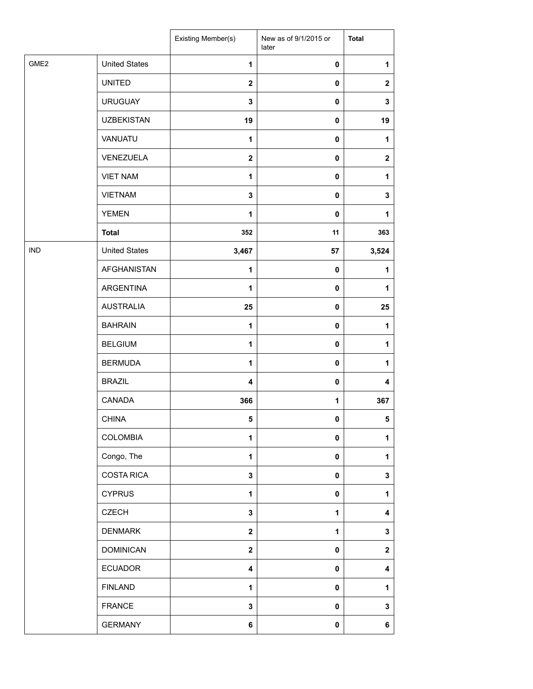|                  |                      | Existing Member(s)      | New as of 9/1/2015 or<br>later | <b>Total</b> |
|------------------|----------------------|-------------------------|--------------------------------|--------------|
| GME <sub>2</sub> | <b>United States</b> | $\mathbf{1}$            | 0                              | 1            |
|                  | <b>UNITED</b>        | $\overline{2}$          | 0                              | $\mathbf{2}$ |
|                  | <b>URUGUAY</b>       | 3                       | 0                              | 3            |
|                  | <b>UZBEKISTAN</b>    | 19                      | 0                              | 19           |
|                  | VANUATU              | $\mathbf{1}$            | 0                              | 1            |
|                  | VENEZUELA            | $\mathbf 2$             | 0                              | $\mathbf 2$  |
|                  | <b>VIET NAM</b>      | $\mathbf{1}$            | 0                              | 1            |
|                  | <b>VIETNAM</b>       | 3                       | 0                              | 3            |
|                  | <b>YEMEN</b>         | 1                       | 0                              | $\mathbf{1}$ |
|                  | <b>Total</b>         | 352                     | 11                             | 363          |
| <b>IND</b>       | <b>United States</b> | 3,467                   | 57                             | 3,524        |
|                  | <b>AFGHANISTAN</b>   | 1                       | 0                              | 1            |
|                  | ARGENTINA            | 1                       | 0                              | 1            |
|                  | <b>AUSTRALIA</b>     | 25                      | 0                              | 25           |
|                  | <b>BAHRAIN</b>       | $\mathbf{1}$            | 0                              | 1            |
|                  | <b>BELGIUM</b>       | $\mathbf{1}$            | 0                              | 1            |
|                  | <b>BERMUDA</b>       | $\mathbf{1}$            | 0                              | 1            |
|                  | <b>BRAZIL</b>        | $\overline{\mathbf{4}}$ | 0                              | 4            |
|                  | CANADA               | 366                     | 1                              | 367          |
|                  | <b>CHINA</b>         | 5                       | 0                              | 5            |
|                  | <b>COLOMBIA</b>      | $\mathbf{1}$            | 0                              | $\mathbf{1}$ |
|                  | Congo, The           | 1                       | 0                              | 1            |
|                  | <b>COSTA RICA</b>    | $\mathbf 3$             | 0                              | 3            |
|                  | <b>CYPRUS</b>        | $\mathbf{1}$            | 0                              | 1            |
|                  | <b>CZECH</b>         | 3                       | 1                              | 4            |
|                  | <b>DENMARK</b>       | $\mathbf{2}$            | 1                              | 3            |
|                  | <b>DOMINICAN</b>     | $\mathbf{2}$            | 0                              | $\mathbf{2}$ |
|                  | <b>ECUADOR</b>       | $\overline{\mathbf{4}}$ | 0                              | 4            |
|                  | <b>FINLAND</b>       | 1                       | 0                              | 1            |
|                  | <b>FRANCE</b>        | 3                       | 0                              | 3            |
|                  | <b>GERMANY</b>       | 6                       | 0                              | 6            |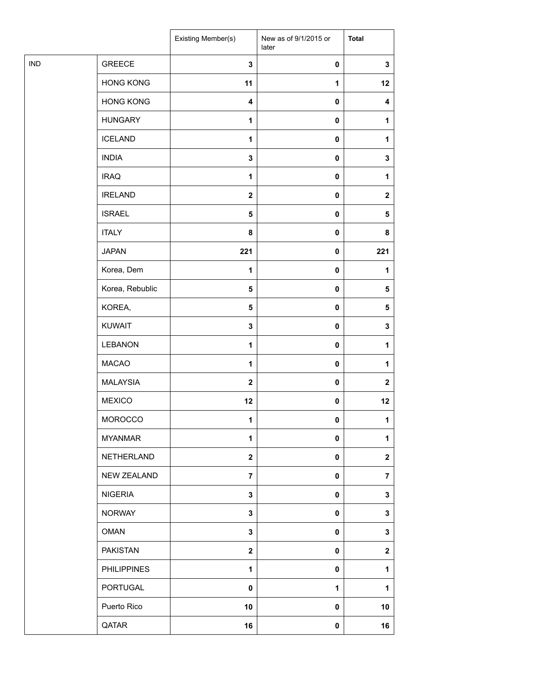|            |                    | Existing Member(s)      | New as of 9/1/2015 or<br>later | <b>Total</b>     |
|------------|--------------------|-------------------------|--------------------------------|------------------|
| <b>IND</b> | <b>GREECE</b>      | $\mathbf 3$             | $\pmb{0}$                      | $\mathbf 3$      |
|            | <b>HONG KONG</b>   | 11                      | 1                              | 12               |
|            | <b>HONG KONG</b>   | 4                       | 0                              | 4                |
|            | <b>HUNGARY</b>     | $\mathbf 1$             | 0                              | 1                |
|            | <b>ICELAND</b>     | $\mathbf{1}$            | $\pmb{0}$                      | 1                |
|            | <b>INDIA</b>       | $\mathbf 3$             | 0                              | 3                |
|            | <b>IRAQ</b>        | $\mathbf{1}$            | $\pmb{0}$                      | $\mathbf{1}$     |
|            | <b>IRELAND</b>     | $\mathbf{2}$            | $\pmb{0}$                      | $\mathbf{2}$     |
|            | <b>ISRAEL</b>      | $\overline{\mathbf{5}}$ | 0                              | 5                |
|            | <b>ITALY</b>       | 8                       | 0                              | 8                |
|            | <b>JAPAN</b>       | 221                     | 0                              | 221              |
|            | Korea, Dem         | $\mathbf{1}$            | 0                              | 1                |
|            | Korea, Rebublic    | $\sqrt{5}$              | $\pmb{0}$                      | 5                |
|            | KOREA,             | $\overline{\mathbf{5}}$ | $\pmb{0}$                      | 5                |
|            | <b>KUWAIT</b>      | 3                       | 0                              | $\mathbf 3$      |
|            | <b>LEBANON</b>     | $\mathbf 1$             | $\pmb{0}$                      | 1                |
|            | <b>MACAO</b>       | $\mathbf{1}$            | $\pmb{0}$                      | 1                |
|            | MALAYSIA           | $\mathbf{2}$            | 0                              | $\boldsymbol{2}$ |
|            | <b>MEXICO</b>      | 12                      | 0                              | 12               |
|            | MOROCCO            | $\mathbf{1}$            | 0                              | 1                |
|            | <b>MYANMAR</b>     | 1                       | 0                              | 1                |
|            | NETHERLAND         | $\mathbf 2$             | 0                              | $\mathbf{2}$     |
|            | <b>NEW ZEALAND</b> | $\overline{7}$          | $\mathbf 0$                    | $\overline{7}$   |
|            | <b>NIGERIA</b>     | 3                       | 0                              | 3                |
|            | <b>NORWAY</b>      | 3                       | 0                              | 3                |
|            | <b>OMAN</b>        | 3                       | 0                              | 3                |
|            | <b>PAKISTAN</b>    | $\mathbf{2}$            | 0                              | $\mathbf 2$      |
|            | <b>PHILIPPINES</b> | $\mathbf{1}$            | 0                              | 1                |
|            | PORTUGAL           | $\pmb{0}$               | $\mathbf{1}$                   | 1                |
|            | Puerto Rico        | 10                      | 0                              | 10               |
|            | QATAR              | 16                      | 0                              | 16               |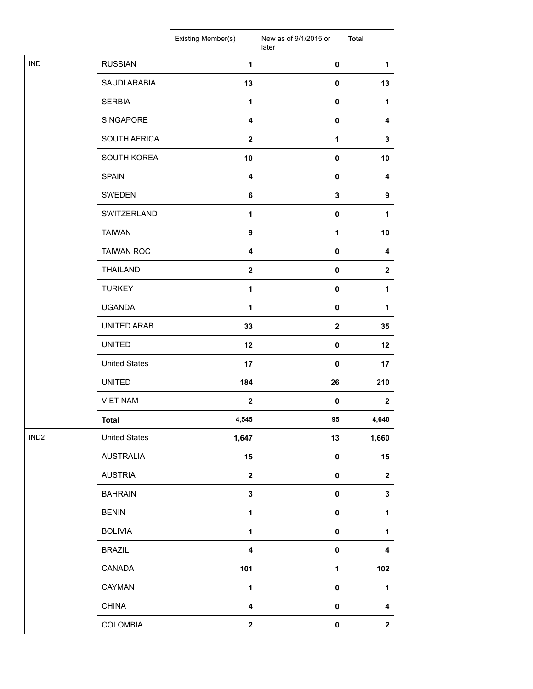|                  |                      | Existing Member(s) | New as of 9/1/2015 or<br>later | <b>Total</b>            |
|------------------|----------------------|--------------------|--------------------------------|-------------------------|
| IND              | <b>RUSSIAN</b>       | 1                  | $\pmb{0}$                      | 1                       |
|                  | SAUDI ARABIA         | 13                 | $\mathbf 0$                    | 13                      |
|                  | <b>SERBIA</b>        | 1                  | $\mathbf 0$                    | 1                       |
|                  | SINGAPORE            | 4                  | $\mathbf 0$                    | 4                       |
|                  | SOUTH AFRICA         | $\overline{2}$     | $\mathbf{1}$                   | 3                       |
|                  | SOUTH KOREA          | 10                 | $\pmb{0}$                      | 10                      |
|                  | <b>SPAIN</b>         | 4                  | $\pmb{0}$                      | 4                       |
|                  | SWEDEN               | 6                  | 3                              | $\boldsymbol{9}$        |
|                  | SWITZERLAND          | 1                  | $\pmb{0}$                      | 1                       |
|                  | <b>TAIWAN</b>        | $\boldsymbol{9}$   | 1                              | 10                      |
|                  | <b>TAIWAN ROC</b>    | 4                  | $\mathbf 0$                    | 4                       |
|                  | <b>THAILAND</b>      | $\mathbf{2}$       | $\pmb{0}$                      | $\overline{\mathbf{2}}$ |
|                  | <b>TURKEY</b>        | 1                  | $\pmb{0}$                      | 1                       |
|                  | <b>UGANDA</b>        | 1                  | $\mathbf 0$                    | 1                       |
|                  | UNITED ARAB          | 33                 | $\mathbf 2$                    | 35                      |
|                  | <b>UNITED</b>        | 12                 | $\mathbf 0$                    | 12                      |
|                  | <b>United States</b> | 17                 | $\pmb{0}$                      | 17                      |
|                  | <b>UNITED</b>        | 184                | 26                             | 210                     |
|                  | <b>VIET NAM</b>      | $\mathbf{2}$       | $\mathbf 0$                    | $\mathbf{2}$            |
|                  | <b>Total</b>         | 4,545              | 95                             | 4,640                   |
| IND <sub>2</sub> | <b>United States</b> | 1,647              | 13                             | 1,660                   |
|                  | <b>AUSTRALIA</b>     | 15                 | $\pmb{0}$                      | 15                      |
|                  | <b>AUSTRIA</b>       | $\mathbf{2}$       | $\pmb{0}$                      | $\boldsymbol{2}$        |
|                  | <b>BAHRAIN</b>       | $\mathbf 3$        | 0                              | $\mathbf{3}$            |
|                  | <b>BENIN</b>         | 1                  | 0                              | 1                       |
|                  | <b>BOLIVIA</b>       | 1                  | $\mathbf 0$                    | 1                       |
|                  | <b>BRAZIL</b>        | 4                  | $\pmb{0}$                      | 4                       |
|                  | CANADA               | 101                | 1                              | 102                     |
|                  | CAYMAN               | 1                  | 0                              | 1                       |
|                  | <b>CHINA</b>         | 4                  | 0                              | 4                       |
|                  | <b>COLOMBIA</b>      | $\mathbf{2}$       | $\pmb{0}$                      | $\mathbf{2}$            |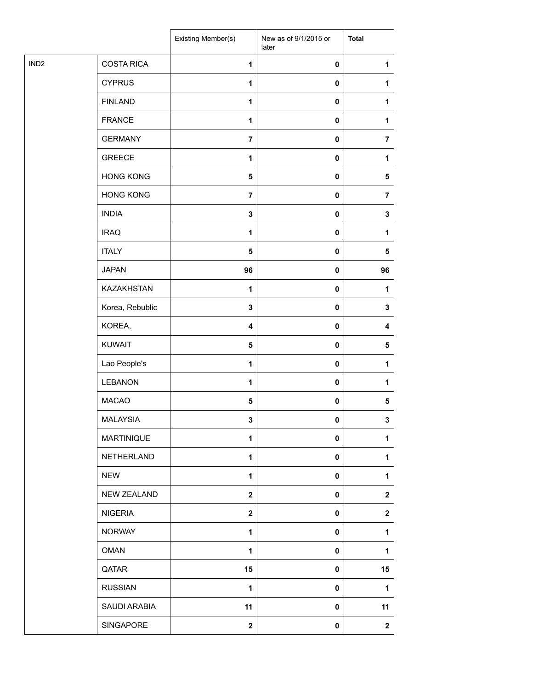|                  |                    | Existing Member(s)      | New as of 9/1/2015 or<br>later | <b>Total</b>            |
|------------------|--------------------|-------------------------|--------------------------------|-------------------------|
| IND <sub>2</sub> | <b>COSTA RICA</b>  | $\mathbf{1}$            | 0                              | 1                       |
|                  | <b>CYPRUS</b>      | $\mathbf{1}$            | $\pmb{0}$                      | 1                       |
|                  | <b>FINLAND</b>     | 1                       | $\pmb{0}$                      | 1                       |
|                  | <b>FRANCE</b>      | $\mathbf{1}$            | 0                              | 1                       |
|                  | <b>GERMANY</b>     | $\overline{7}$          | 0                              | $\overline{7}$          |
|                  | <b>GREECE</b>      | 1                       | $\pmb{0}$                      | 1                       |
|                  | <b>HONG KONG</b>   | $\overline{\mathbf{5}}$ | 0                              | 5                       |
|                  | <b>HONG KONG</b>   | $\overline{7}$          | $\pmb{0}$                      | $\overline{\mathbf{7}}$ |
|                  | <b>INDIA</b>       | $\mathbf 3$             | $\pmb{0}$                      | 3                       |
|                  | <b>IRAQ</b>        | 1                       | 0                              | 1                       |
|                  | <b>ITALY</b>       | $\overline{\mathbf{5}}$ | 0                              | 5                       |
|                  | <b>JAPAN</b>       | 96                      | $\pmb{0}$                      | 96                      |
|                  | <b>KAZAKHSTAN</b>  | $\mathbf 1$             | $\pmb{0}$                      | 1                       |
|                  | Korea, Rebublic    | $\mathbf 3$             | 0                              | 3                       |
|                  | KOREA,             | 4                       | 0                              | 4                       |
|                  | <b>KUWAIT</b>      | $\overline{\mathbf{5}}$ | 0                              | $\sqrt{5}$              |
|                  | Lao People's       | $\mathbf{1}$            | $\pmb{0}$                      | 1                       |
|                  | <b>LEBANON</b>     | 1                       | $\pmb{0}$                      | 1                       |
|                  | <b>MACAO</b>       | ${\bf 5}$               | $\pmb{0}$                      | 5                       |
|                  | <b>MALAYSIA</b>    | 3                       | 0                              | $\mathbf{3}$            |
|                  | <b>MARTINIQUE</b>  | 1                       | 0                              | 1                       |
|                  | <b>NETHERLAND</b>  | $\mathbf{1}$            | 0                              | 1                       |
|                  | <b>NEW</b>         | $\mathbf{1}$            | 0                              | 1                       |
|                  | <b>NEW ZEALAND</b> | $\mathbf{2}$            | 0                              | $\mathbf 2$             |
|                  | <b>NIGERIA</b>     | $\mathbf 2$             | 0                              | $\mathbf 2$             |
|                  | <b>NORWAY</b>      | $\mathbf{1}$            | 0                              | 1                       |
|                  | <b>OMAN</b>        | 1                       | 0                              | 1                       |
|                  | QATAR              | 15                      | 0                              | 15                      |
|                  | <b>RUSSIAN</b>     | $\mathbf{1}$            | 0                              | 1                       |
|                  | SAUDI ARABIA       | 11                      | 0                              | 11                      |
|                  | SINGAPORE          | $\boldsymbol{2}$        | 0                              | $\mathbf 2$             |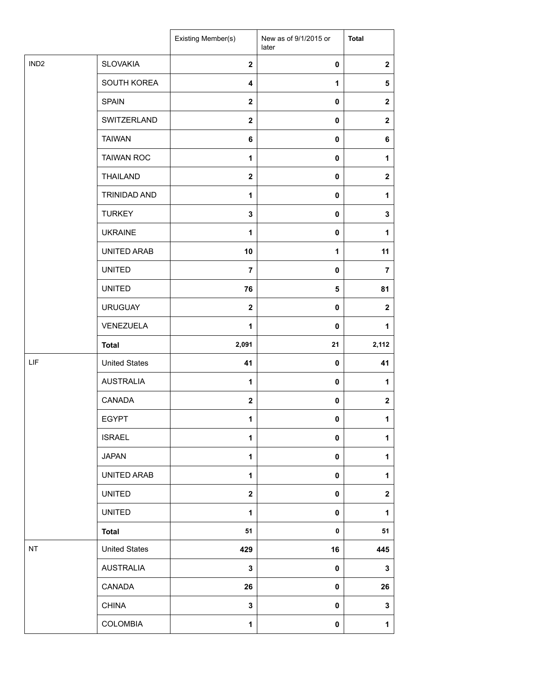|                  |                      | Existing Member(s) | New as of 9/1/2015 or<br>later | <b>Total</b>            |
|------------------|----------------------|--------------------|--------------------------------|-------------------------|
| IND <sub>2</sub> | <b>SLOVAKIA</b>      | $\mathbf{2}$       | 0                              | $\overline{\mathbf{2}}$ |
|                  | SOUTH KOREA          | 4                  | 1                              | 5                       |
|                  | <b>SPAIN</b>         | $\mathbf{2}$       | 0                              | $\mathbf{2}$            |
|                  | SWITZERLAND          | $\mathbf{2}$       | 0                              | $\mathbf 2$             |
|                  | <b>TAIWAN</b>        | 6                  | 0                              | 6                       |
|                  | <b>TAIWAN ROC</b>    | 1                  | 0                              | 1                       |
|                  | <b>THAILAND</b>      | $\mathbf{2}$       | 0                              | $\mathbf{2}$            |
|                  | TRINIDAD AND         | $\mathbf{1}$       | $\mathbf 0$                    | 1                       |
|                  | <b>TURKEY</b>        | 3                  | 0                              | 3                       |
|                  | <b>UKRAINE</b>       | $\mathbf{1}$       | 0                              | $\mathbf{1}$            |
|                  | UNITED ARAB          | 10                 | $\mathbf{1}$                   | 11                      |
|                  | <b>UNITED</b>        | $\overline{7}$     | 0                              | $\overline{\mathbf{r}}$ |
|                  | <b>UNITED</b>        | 76                 | 5                              | 81                      |
|                  | <b>URUGUAY</b>       | $\mathbf{2}$       | $\mathbf 0$                    | $\mathbf{2}$            |
|                  | VENEZUELA            | $\mathbf{1}$       | $\mathbf 0$                    | 1                       |
|                  | <b>Total</b>         | 2,091              | 21                             | 2,112                   |
| LIF              | <b>United States</b> | 41                 | 0                              | 41                      |
|                  | <b>AUSTRALIA</b>     | 1                  | 0                              | 1                       |
|                  | CANADA               | $\mathbf{2}$       | 0                              | $\boldsymbol{2}$        |
|                  | <b>EGYPT</b>         | 1                  | 0                              | $\mathbf{1}$            |
|                  | <b>ISRAEL</b>        | 1                  | 0                              | $\mathbf{1}$            |
|                  | <b>JAPAN</b>         | 1                  | 0                              | $\mathbf{1}$            |
|                  | UNITED ARAB          | $\mathbf{1}$       | 0                              | 1                       |
|                  | <b>UNITED</b>        | $\mathbf 2$        | 0                              | $\boldsymbol{2}$        |
|                  | <b>UNITED</b>        | 1                  | 0                              | 1                       |
|                  | <b>Total</b>         | 51                 | 0                              | 51                      |
| NT               | <b>United States</b> | 429                | 16                             | 445                     |
|                  | <b>AUSTRALIA</b>     | 3                  | 0                              | $\mathbf 3$             |
|                  | CANADA               | 26                 | 0                              | 26                      |
|                  | <b>CHINA</b>         | 3                  | 0                              | $\mathbf 3$             |
|                  | <b>COLOMBIA</b>      | 1                  | 0                              | $\mathbf 1$             |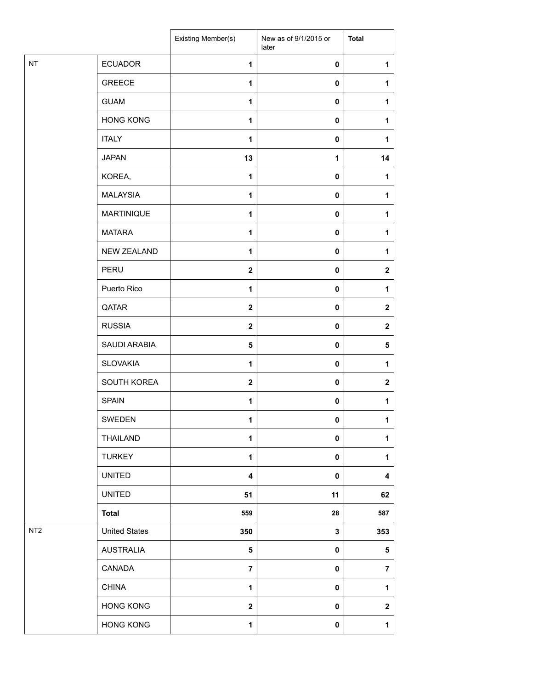|                 |                      | Existing Member(s)      | New as of 9/1/2015 or<br>later | <b>Total</b>     |
|-----------------|----------------------|-------------------------|--------------------------------|------------------|
| NT              | <b>ECUADOR</b>       | $\mathbf{1}$            | $\pmb{0}$                      | $\mathbf{1}$     |
|                 | <b>GREECE</b>        | 1                       | 0                              | 1                |
|                 | <b>GUAM</b>          | 1                       | 0                              | $\mathbf 1$      |
|                 | <b>HONG KONG</b>     | 1                       | 0                              | 1                |
|                 | <b>ITALY</b>         | 1                       | 0                              | 1                |
|                 | <b>JAPAN</b>         | 13                      | 1                              | 14               |
|                 | KOREA,               | 1                       | $\pmb{0}$                      | 1                |
|                 | <b>MALAYSIA</b>      | 1                       | 0                              | $\mathbf{1}$     |
|                 | <b>MARTINIQUE</b>    | 1                       | 0                              | 1                |
|                 | <b>MATARA</b>        | $\mathbf{1}$            | 0                              | 1                |
|                 | <b>NEW ZEALAND</b>   | 1                       | 0                              | 1                |
|                 | PERU                 | $\mathbf{2}$            | 0                              | $\boldsymbol{2}$ |
|                 | Puerto Rico          | 1                       | $\pmb{0}$                      | 1                |
|                 | QATAR                | $\boldsymbol{2}$        | $\mathbf 0$                    | $\mathbf 2$      |
|                 | <b>RUSSIA</b>        | $\mathbf 2$             | 0                              | $\mathbf{2}$     |
|                 | SAUDI ARABIA         | $\sqrt{5}$              | 0                              | 5                |
|                 | <b>SLOVAKIA</b>      | $\mathbf{1}$            | 0                              | 1                |
|                 | SOUTH KOREA          | $\mathbf{2}$            | 0                              | $\boldsymbol{2}$ |
|                 | <b>SPAIN</b>         | 1                       | 0                              | 1                |
|                 | SWEDEN               | 1                       | 0                              | $\mathbf 1$      |
|                 | THAILAND             | 1                       | 0                              | 1                |
|                 | <b>TURKEY</b>        | $\mathbf{1}$            | 0                              | $\mathbf{1}$     |
|                 | <b>UNITED</b>        | $\overline{\mathbf{4}}$ | 0                              | 4                |
|                 | <b>UNITED</b>        | 51                      | 11                             | 62               |
|                 | <b>Total</b>         | 559                     | 28                             | 587              |
| NT <sub>2</sub> | <b>United States</b> | 350                     | 3                              | 353              |
|                 | <b>AUSTRALIA</b>     | 5                       | 0                              | ${\bf 5}$        |
|                 | CANADA               | $\overline{7}$          | 0                              | $\overline{7}$   |
|                 | <b>CHINA</b>         | $\mathbf{1}$            | 0                              | $\mathbf{1}$     |
|                 | <b>HONG KONG</b>     | $\mathbf 2$             | 0                              | $\boldsymbol{2}$ |
|                 | <b>HONG KONG</b>     | $\mathbf{1}$            | $\pmb{0}$                      | $\mathbf{1}$     |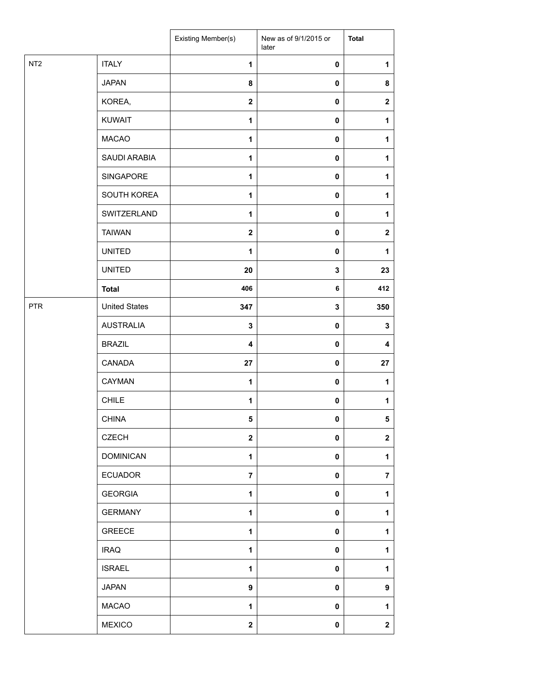|                 |                      | Existing Member(s)      | New as of 9/1/2015 or<br>later | <b>Total</b>     |
|-----------------|----------------------|-------------------------|--------------------------------|------------------|
| NT <sub>2</sub> | <b>ITALY</b>         | $\mathbf{1}$            | 0                              | 1                |
|                 | <b>JAPAN</b>         | 8                       | 0                              | 8                |
|                 | KOREA,               | $\mathbf{2}$            | 0                              | $\mathbf{2}$     |
|                 | <b>KUWAIT</b>        | $\mathbf{1}$            | 0                              | 1                |
|                 | <b>MACAO</b>         | 1                       | 0                              | 1                |
|                 | SAUDI ARABIA         | $\mathbf{1}$            | $\pmb{0}$                      | 1                |
|                 | SINGAPORE            | $\mathbf{1}$            | 0                              | 1                |
|                 | SOUTH KOREA          | $\mathbf{1}$            | 0                              | 1                |
|                 | SWITZERLAND          | $\mathbf{1}$            | 0                              | 1                |
|                 | <b>TAIWAN</b>        | $\mathbf{2}$            | 0                              | $\boldsymbol{2}$ |
|                 | <b>UNITED</b>        | $\mathbf{1}$            | $\mathbf 0$                    | 1                |
|                 | <b>UNITED</b>        | 20                      | 3                              | 23               |
|                 | <b>Total</b>         | 406                     | 6                              | 412              |
| <b>PTR</b>      | <b>United States</b> | 347                     | 3                              | 350              |
|                 | <b>AUSTRALIA</b>     | $\mathbf 3$             | 0                              | 3                |
|                 | <b>BRAZIL</b>        | $\overline{\mathbf{4}}$ | 0                              | 4                |
|                 | CANADA               | 27                      | 0                              | 27               |
|                 | CAYMAN               | $\mathbf{1}$            | 0                              | 1                |
|                 | <b>CHILE</b>         | $\mathbf{1}$            | 0                              | 1                |
|                 | <b>CHINA</b>         | $5\phantom{.0}$         | 0                              | 5                |
|                 | <b>CZECH</b>         | $\mathbf{2}$            | 0                              | $\mathbf 2$      |
|                 | <b>DOMINICAN</b>     | $\mathbf{1}$            | 0                              | 1                |
|                 | <b>ECUADOR</b>       | $\overline{7}$          | 0                              | $\overline{7}$   |
|                 | <b>GEORGIA</b>       | $\mathbf{1}$            | 0                              | 1                |
|                 | <b>GERMANY</b>       | $\mathbf{1}$            | $\pmb{0}$                      | 1                |
|                 | <b>GREECE</b>        | 1                       | 0                              | 1                |
|                 | <b>IRAQ</b>          | $\mathbf{1}$            | 0                              | 1                |
|                 | <b>ISRAEL</b>        | 1                       | 0                              | 1                |
|                 | <b>JAPAN</b>         | $\boldsymbol{9}$        | 0                              | 9                |
|                 | <b>MACAO</b>         | $\mathbf{1}$            | 0                              | 1                |
|                 | <b>MEXICO</b>        | $\boldsymbol{2}$        | 0                              | $\boldsymbol{2}$ |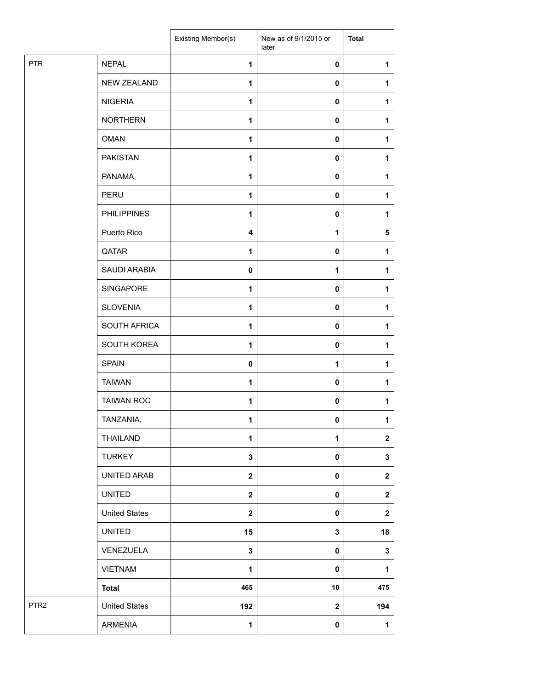|                  |                      | Existing Member(s)      | New as of 9/1/2015 or<br>later | <b>Total</b> |
|------------------|----------------------|-------------------------|--------------------------------|--------------|
| <b>PTR</b>       | <b>NEPAL</b>         | $\mathbf{1}$            | $\mathbf 0$                    | 1            |
|                  | <b>NEW ZEALAND</b>   | $\mathbf{1}$            | $\mathbf 0$                    | $\mathbf{1}$ |
|                  | <b>NIGERIA</b>       | $\mathbf{1}$            | $\mathbf 0$                    | $\mathbf{1}$ |
|                  | <b>NORTHERN</b>      | 1                       | 0                              | 1            |
|                  | <b>OMAN</b>          | $\mathbf{1}$            | 0                              | $\mathbf{1}$ |
|                  | <b>PAKISTAN</b>      | $\mathbf{1}$            | $\mathbf 0$                    | 1            |
|                  | PANAMA               | $\mathbf{1}$            | $\mathbf 0$                    | $\mathbf{1}$ |
|                  | PERU                 | $\mathbf{1}$            | $\mathbf 0$                    | $\mathbf{1}$ |
|                  | <b>PHILIPPINES</b>   | 1                       | $\mathbf 0$                    | 1            |
|                  | Puerto Rico          | $\overline{\mathbf{4}}$ | 1                              | 5            |
|                  | QATAR                | $\mathbf{1}$            | 0                              | 1            |
|                  | SAUDI ARABIA         | $\mathbf 0$             | 1                              | $\mathbf{1}$ |
|                  | SINGAPORE            | $\mathbf{1}$            | $\mathbf 0$                    | 1            |
|                  | <b>SLOVENIA</b>      | 1                       | $\mathbf 0$                    | 1            |
|                  | SOUTH AFRICA         | $\mathbf{1}$            | $\mathbf 0$                    | 1            |
|                  | SOUTH KOREA          | 1                       | 0                              | 1            |
|                  | <b>SPAIN</b>         | $\pmb{0}$               | 1                              | $\mathbf{1}$ |
|                  | <b>TAIWAN</b>        | $\mathbf{1}$            | $\mathbf 0$                    | $\mathbf{1}$ |
|                  | <b>TAIWAN ROC</b>    | 1                       | $\mathbf 0$                    | $\mathbf{1}$ |
|                  | TANZANIA,            | 1                       | 0                              | $\mathbf{1}$ |
|                  | THAILAND             | 1                       | 1                              | $\mathbf{2}$ |
|                  | <b>TURKEY</b>        | $\mathbf 3$             | 0                              | $\mathbf{3}$ |
|                  | UNITED ARAB          | $\overline{\mathbf{2}}$ | 0                              | $\mathbf{2}$ |
|                  | <b>UNITED</b>        | $\overline{\mathbf{2}}$ | 0                              | $\mathbf{2}$ |
|                  | <b>United States</b> | $\overline{\mathbf{2}}$ | 0                              | $\mathbf 2$  |
|                  | <b>UNITED</b>        | 15                      | 3                              | 18           |
|                  | VENEZUELA            | $\mathbf{3}$            | 0                              | $\mathbf{3}$ |
|                  | <b>VIETNAM</b>       | $\mathbf{1}$            | $\pmb{0}$                      | $\mathbf{1}$ |
|                  | <b>Total</b>         | 465                     | 10                             | 475          |
| PTR <sub>2</sub> | <b>United States</b> | 192                     | $\mathbf 2$                    | 194          |
|                  | <b>ARMENIA</b>       | 1                       | $\pmb{0}$                      | $\mathbf 1$  |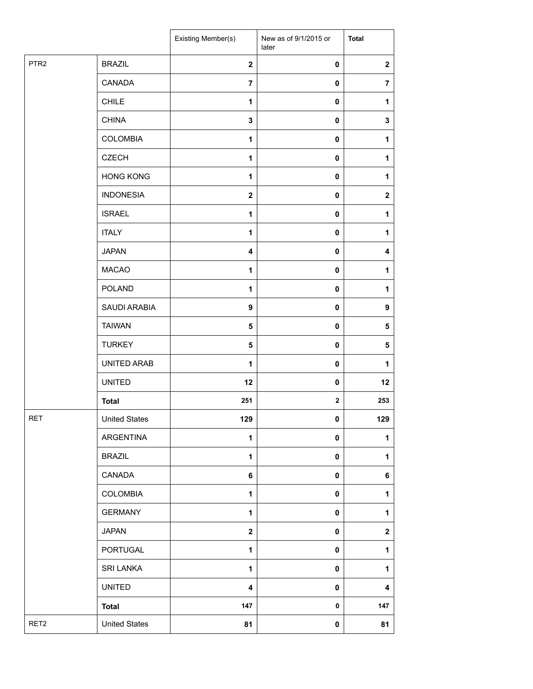|                  |                      | Existing Member(s)      | New as of 9/1/2015 or<br>later | <b>Total</b>            |
|------------------|----------------------|-------------------------|--------------------------------|-------------------------|
| PTR <sub>2</sub> | <b>BRAZIL</b>        | $\mathbf{2}$            | $\pmb{0}$                      | $\overline{\mathbf{2}}$ |
|                  | CANADA               | 7                       | 0                              | $\overline{7}$          |
|                  | <b>CHILE</b>         | $\mathbf{1}$            | $\pmb{0}$                      | 1                       |
|                  | <b>CHINA</b>         | 3                       | 0                              | 3                       |
|                  | <b>COLOMBIA</b>      | $\mathbf{1}$            | 0                              | 1                       |
|                  | <b>CZECH</b>         | 1                       | $\pmb{0}$                      | 1                       |
|                  | <b>HONG KONG</b>     | $\mathbf{1}$            | $\pmb{0}$                      | 1                       |
|                  | <b>INDONESIA</b>     | $\mathbf{2}$            | 0                              | $\mathbf 2$             |
|                  | <b>ISRAEL</b>        | 1                       | $\pmb{0}$                      | 1                       |
|                  | <b>ITALY</b>         | 1                       | 0                              | 1                       |
|                  | <b>JAPAN</b>         | $\overline{\mathbf{4}}$ | 0                              | 4                       |
|                  | <b>MACAO</b>         | $\mathbf{1}$            | $\pmb{0}$                      | 1                       |
|                  | POLAND               | 1                       | $\pmb{0}$                      | 1                       |
|                  | SAUDI ARABIA         | 9                       | 0                              | 9                       |
|                  | <b>TAIWAN</b>        | 5                       | $\pmb{0}$                      | 5                       |
|                  | <b>TURKEY</b>        | 5                       | 0                              | 5                       |
|                  | UNITED ARAB          | $\mathbf{1}$            | $\pmb{0}$                      | 1                       |
|                  | <b>UNITED</b>        | 12                      | $\pmb{0}$                      | 12                      |
|                  | <b>Total</b>         | 251                     | $\mathbf{2}$                   | 253                     |
| <b>RET</b>       | <b>United States</b> | 129                     | $\mathbf 0$                    | 129                     |
|                  | ARGENTINA            | 1                       | 0                              | 1                       |
|                  | <b>BRAZIL</b>        | $\mathbf{1}$            | 0                              | 1                       |
|                  | CANADA               | 6                       | 0                              | 6                       |
|                  | <b>COLOMBIA</b>      | $\mathbf{1}$            | 0                              | $\mathbf{1}$            |
|                  | <b>GERMANY</b>       | 1                       | 0                              | 1                       |
|                  | <b>JAPAN</b>         | $\mathbf{2}$            | 0                              | $\mathbf 2$             |
|                  | PORTUGAL             | 1                       | 0                              | 1                       |
|                  | <b>SRI LANKA</b>     | $\mathbf{1}$            | 0                              | 1                       |
|                  | <b>UNITED</b>        | 4                       | 0                              | 4                       |
|                  | <b>Total</b>         | 147                     | 0                              | 147                     |
| RET <sub>2</sub> | <b>United States</b> | 81                      | 0                              | 81                      |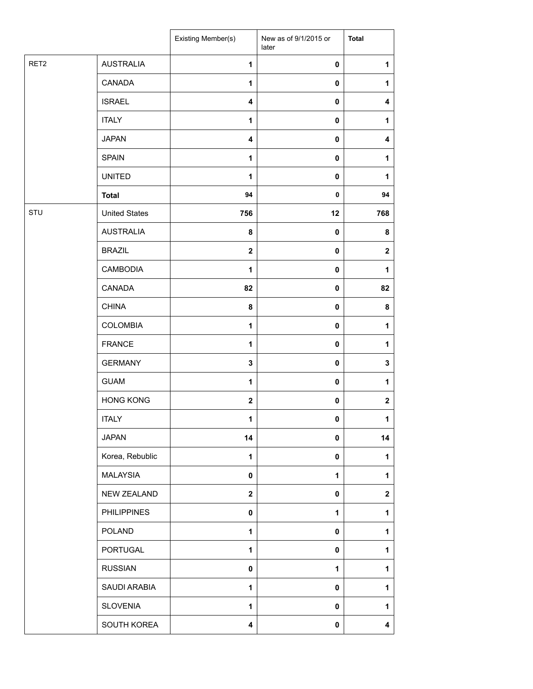|      |                      | Existing Member(s)      | New as of 9/1/2015 or<br>later | <b>Total</b> |
|------|----------------------|-------------------------|--------------------------------|--------------|
| RET2 | <b>AUSTRALIA</b>     | 1                       | 0                              | 1            |
|      | CANADA               | 1                       | 0                              | 1            |
|      | <b>ISRAEL</b>        | 4                       | 0                              | 4            |
|      | <b>ITALY</b>         | 1                       | 0                              | 1            |
|      | <b>JAPAN</b>         | $\overline{\mathbf{4}}$ | 0                              | 4            |
|      | <b>SPAIN</b>         | $\mathbf{1}$            | 0                              | 1            |
|      | <b>UNITED</b>        | $\mathbf{1}$            | 0                              | 1            |
|      | <b>Total</b>         | 94                      | 0                              | 94           |
| STU  | <b>United States</b> | 756                     | 12                             | 768          |
|      | <b>AUSTRALIA</b>     | 8                       | 0                              | 8            |
|      | <b>BRAZIL</b>        | $\mathbf{2}$            | $\mathbf 0$                    | $\mathbf{2}$ |
|      | <b>CAMBODIA</b>      | 1                       | 0                              | 1            |
|      | CANADA               | 82                      | 0                              | 82           |
|      | <b>CHINA</b>         | 8                       | 0                              | 8            |
|      | <b>COLOMBIA</b>      | 1                       | 0                              | 1            |
|      | <b>FRANCE</b>        | $\mathbf{1}$            | 0                              | 1            |
|      | <b>GERMANY</b>       | $\mathbf 3$             | 0                              | 3            |
|      | <b>GUAM</b>          | 1                       | 0                              | 1            |
|      | <b>HONG KONG</b>     | $\mathbf{2}$            | 0                              | $\mathbf 2$  |
|      | <b>ITALY</b>         | 1                       | 0                              | 1            |
|      | <b>JAPAN</b>         | 14                      | 0                              | 14           |
|      | Korea, Rebublic      | 1                       | 0                              | 1            |
|      | <b>MALAYSIA</b>      | $\mathbf 0$             | 1                              | 1            |
|      | <b>NEW ZEALAND</b>   | $\mathbf{2}$            | 0                              | $\mathbf 2$  |
|      | <b>PHILIPPINES</b>   | $\mathbf 0$             | 1                              | 1            |
|      | <b>POLAND</b>        | $\mathbf{1}$            | 0                              | 1            |
|      | <b>PORTUGAL</b>      | 1                       | 0                              | 1            |
|      | <b>RUSSIAN</b>       | $\mathbf 0$             | 1                              | $\mathbf{1}$ |
|      | SAUDI ARABIA         | 1                       | 0                              | 1            |
|      | <b>SLOVENIA</b>      | $\mathbf{1}$            | 0                              | 1            |
|      | SOUTH KOREA          | 4                       | 0                              | 4            |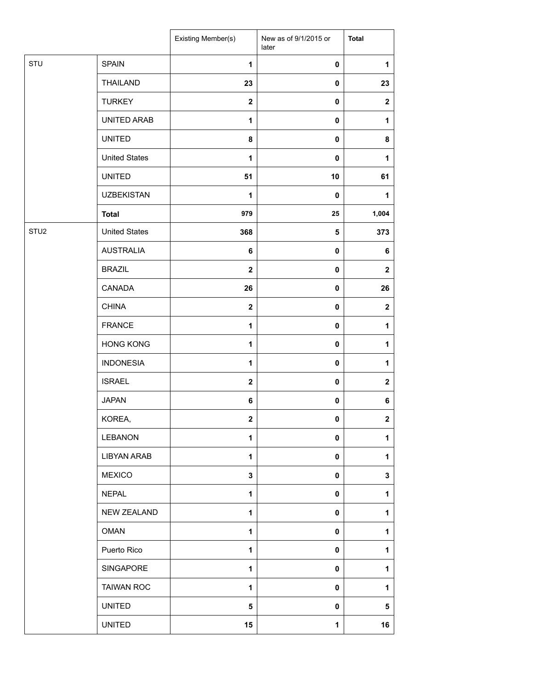|                  |                      | Existing Member(s)      | New as of 9/1/2015 or<br>later | <b>Total</b>     |
|------------------|----------------------|-------------------------|--------------------------------|------------------|
| STU              | <b>SPAIN</b>         | $\mathbf{1}$            | $\pmb{0}$                      | 1                |
|                  | <b>THAILAND</b>      | 23                      | 0                              | 23               |
|                  | <b>TURKEY</b>        | $\overline{\mathbf{2}}$ | 0                              | $\mathbf{2}$     |
|                  | UNITED ARAB          | 1                       | 0                              | 1                |
|                  | <b>UNITED</b>        | 8                       | 0                              | 8                |
|                  | <b>United States</b> | 1                       | 0                              | 1                |
|                  | <b>UNITED</b>        | 51                      | 10                             | 61               |
|                  | <b>UZBEKISTAN</b>    | 1                       | $\pmb{0}$                      | 1                |
|                  | <b>Total</b>         | 979                     | 25                             | 1,004            |
| STU <sub>2</sub> | <b>United States</b> | 368                     | 5                              | 373              |
|                  | <b>AUSTRALIA</b>     | 6                       | $\pmb{0}$                      | 6                |
|                  | <b>BRAZIL</b>        | $\overline{\mathbf{2}}$ | 0                              | $\mathbf{2}$     |
|                  | CANADA               | 26                      | 0                              | 26               |
|                  | <b>CHINA</b>         | $\mathbf{2}$            | $\pmb{0}$                      | $\boldsymbol{2}$ |
|                  | <b>FRANCE</b>        | $\mathbf{1}$            | 0                              | 1                |
|                  | <b>HONG KONG</b>     | $\mathbf{1}$            | 0                              | 1                |
|                  | <b>INDONESIA</b>     | $\mathbf{1}$            | 0                              | $\mathbf{1}$     |
|                  | <b>ISRAEL</b>        | $\mathbf{2}$            | 0                              | $\mathbf 2$      |
|                  | <b>JAPAN</b>         | 6                       | 0                              | 6                |
|                  | KOREA,               | $\mathbf 2$             | $\pmb{0}$                      | $\mathbf 2$      |
|                  | <b>LEBANON</b>       | 1                       | 0                              | 1                |
|                  | <b>LIBYAN ARAB</b>   | 1                       | 0                              | 1                |
|                  | <b>MEXICO</b>        | 3                       | 0                              | 3                |
|                  | <b>NEPAL</b>         | $\mathbf{1}$            | 0                              | 1                |
|                  | <b>NEW ZEALAND</b>   | 1                       | 0                              | 1                |
|                  | <b>OMAN</b>          | 1                       | 0                              | 1                |
|                  | Puerto Rico          | 1                       | 0                              | 1                |
|                  | SINGAPORE            | $\mathbf{1}$            | $\mathbf 0$                    | 1                |
|                  | <b>TAIWAN ROC</b>    | 1                       | 0                              | 1                |
|                  | <b>UNITED</b>        | 5                       | 0                              | 5                |
|                  | <b>UNITED</b>        | 15                      | 1                              | 16               |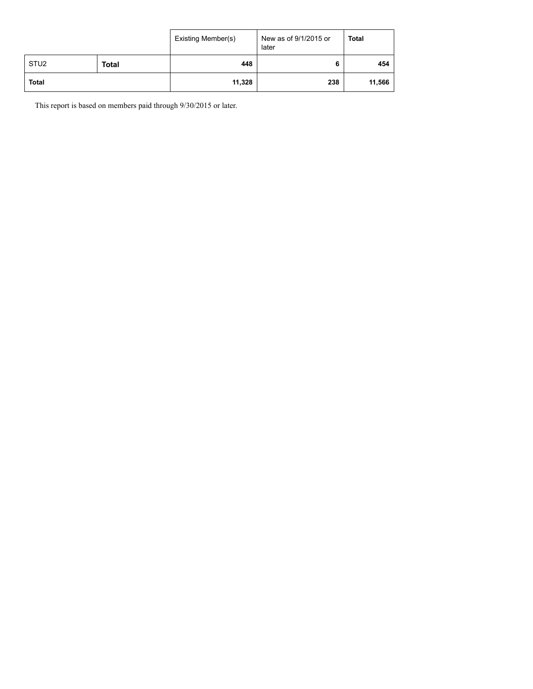|                  |              | Existing Member(s) | New as of 9/1/2015 or<br>later | <b>Total</b> |
|------------------|--------------|--------------------|--------------------------------|--------------|
| STU <sub>2</sub> | <b>Total</b> | 448                |                                | 454          |
| <b>Total</b>     |              | 11,328             | 238                            | 11,566       |

This report is based on members paid through 9/30/2015 or later.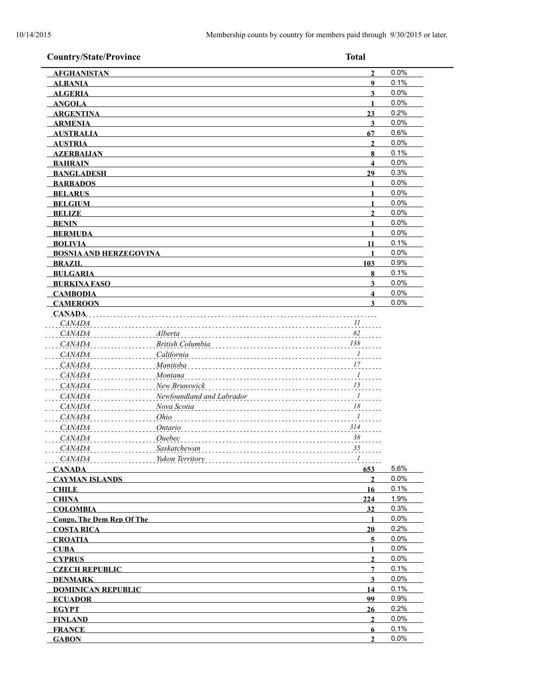| <b>Country/State/Province</b> |                           | <b>Total</b>                                               |      |
|-------------------------------|---------------------------|------------------------------------------------------------|------|
| <b>AFGHANISTAN</b>            |                           | $\overline{2}$                                             | 0.0% |
| <b>ALBANIA</b>                |                           | 9                                                          | 0.1% |
| <b>ALGERIA</b>                |                           | $\overline{\mathbf{3}}$                                    | 0.0% |
| <b>ANGOLA</b>                 |                           | $\mathbf{1}$                                               | 0.0% |
| <b>ARGENTINA</b>              |                           | 23                                                         | 0.2% |
| <b>ARMENIA</b>                |                           | $\mathbf{3}$                                               | 0.0% |
| <b>AUSTRALIA</b>              |                           | 67                                                         | 0.6% |
| <b>AUSTRIA</b>                |                           | $\mathbf{2}$                                               | 0.0% |
| <b>AZERBAIJAN</b>             |                           | 8                                                          | 0.1% |
| <b>BAHRAIN</b>                |                           | $\overline{\mathbf{4}}$                                    | 0.0% |
| <b>BANGLADESH</b>             |                           | 29                                                         | 0.3% |
| <b>BARBADOS</b>               |                           | $\blacksquare$                                             | 0.0% |
| <b>BELARUS</b>                |                           | $\mathbf{1}$                                               | 0.0% |
| <b>BELGIUM</b>                |                           | $\mathbf{1}$                                               | 0.0% |
| <b>BELIZE</b>                 |                           | $\overline{2}$                                             | 0.0% |
| <b>BENIN</b>                  |                           | $\mathbf{1}$                                               | 0.0% |
| <b>BERMUDA</b>                |                           | $\mathbf{1}$                                               | 0.0% |
| <b>BOLIVIA</b>                |                           | 11                                                         | 0.1% |
| <b>BOSNIA AND HERZEGOVINA</b> |                           | 1                                                          | 0.0% |
| <b>BRAZIL</b>                 |                           | 103                                                        | 0.9% |
| <b>BULGARIA</b>               |                           | 8                                                          | 0.1% |
| <b>BURKINA FASO</b>           |                           | 3                                                          | 0.0% |
| <b>CAMBODIA</b>               |                           | $\overline{\mathbf{4}}$                                    | 0.0% |
| <b>CAMEROON</b>               |                           | 3                                                          | 0.0% |
| <b>CANADA</b>                 |                           |                                                            |      |
| <i>CANADA</i>                 |                           | II                                                         |      |
| <b>CANADA</b>                 | Alberta                   | 62                                                         |      |
| <b>CANADA</b>                 | British Columbia          | $\frac{138}{15}$                                           |      |
| <b>CANADA</b>                 | California                | . $^{\cal I}$                                              |      |
| <b>CANADA</b>                 | Manitoba                  | $\ldots$ . $17$                                            |      |
| <b>CANADA</b>                 | Montana                   | $\ldots$ <sup>1</sup>                                      |      |
| <b>CANADA</b>                 | New Brunswick             |                                                            |      |
| <b>CANADA</b>                 | Newfoundland and Labrador |                                                            |      |
| <b>CANADA</b>                 | Nova Scotia               | $\cdots \cdots \cdots \cdots \cdots \cdots$<br>$\ldots$ 18 |      |
| <b>CANADA</b>                 | Ohio                      | $\frac{1}{2}$                                              |      |
|                               |                           |                                                            |      |
| <b>CANADA</b>                 | Ontario                   | 314                                                        |      |
| <b>CANADA</b>                 | Ouebec                    | 38                                                         |      |
| <i>CANADA</i>                 | Saskatchewan              | 35                                                         |      |
| CANADA                        | Yukon Territory           | $I$                                                        |      |
| <b>CANADA</b>                 |                           | 653                                                        | 5.6% |
| <b>CAYMAN ISLANDS</b>         |                           | $\overline{2}$                                             | 0.0% |
| <b>CHILE</b>                  |                           | 16                                                         | 0.1% |
| <b>CHINA</b>                  |                           | 224                                                        | 1.9% |
| <b>COLOMBIA</b>               |                           | 32                                                         | 0.3% |
| Congo, The Dem Rep Of The     |                           | $\mathbf{1}$                                               | 0.0% |
| <b>COSTA RICA</b>             |                           | 20                                                         | 0.2% |
| <b>CROATIA</b>                |                           | 5                                                          | 0.0% |
| <b>CUBA</b>                   |                           | $\mathbf{1}$                                               | 0.0% |
| <b>CYPRUS</b>                 |                           | $\overline{2}$                                             | 0.0% |
| <b>CZECH REPUBLIC</b>         |                           | $\overline{7}$                                             | 0.1% |
| <b>DENMARK</b>                |                           | $\mathbf{3}$                                               | 0.0% |
| <b>DOMINICAN REPUBLIC</b>     |                           | 14                                                         | 0.1% |
| <b>ECUADOR</b>                |                           | 99                                                         | 0.9% |
| <b>EGYPT</b>                  |                           | 26                                                         | 0.2% |
| <b>FINLAND</b>                |                           | $\overline{2}$                                             | 0.0% |
| <b>FRANCE</b>                 |                           | 6                                                          | 0.1% |
| <b>GABON</b>                  |                           | $\overline{2}$                                             | 0.0% |
|                               |                           |                                                            |      |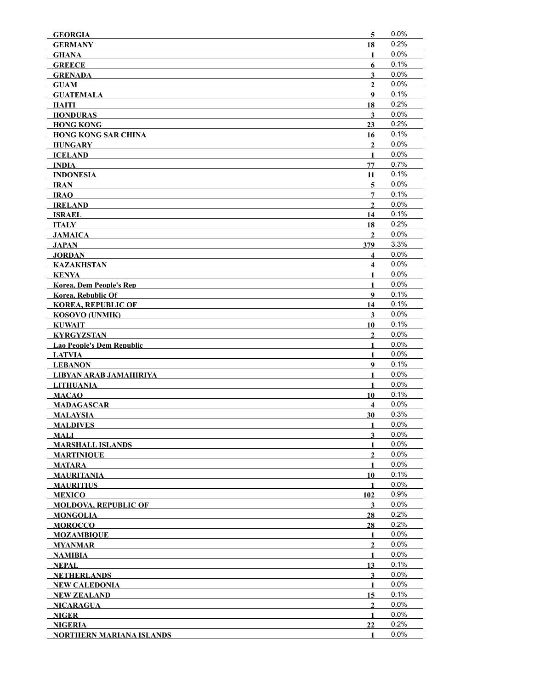| <b>GEORGIA</b>                                    | $\overline{\mathbf{5}}$          | 0.0%         |
|---------------------------------------------------|----------------------------------|--------------|
| <b>GERMANY</b>                                    | 18                               | 0.2%         |
| <b>GHANA</b>                                      | 1                                | 0.0%         |
| <b>GREECE</b>                                     | 6                                | 0.1%         |
| <b>GRENADA</b>                                    | 3                                | 0.0%         |
| <b>GUAM</b>                                       | $\mathbf{2}$                     | 0.0%         |
| <b>GUATEMALA</b>                                  | 9                                | 0.1%         |
| <b>HAITI</b>                                      | 18                               | 0.2%         |
| <b>HONDURAS</b>                                   | 3                                | 0.0%         |
| <b>HONG KONG</b>                                  | 23                               | 0.2%         |
| <b>HONG KONG SAR CHINA</b>                        | 16                               | 0.1%         |
| <b>HUNGARY</b>                                    | $\overline{2}$                   | 0.0%         |
| <b>ICELAND</b>                                    | $\mathbf{1}$                     | 0.0%         |
| <b>INDIA</b>                                      | 77                               | 0.7%         |
| <b>INDONESIA</b>                                  | 11                               | 0.1%         |
| <b>IRAN</b>                                       | 5                                | 0.0%<br>0.1% |
| <b>IRAO</b>                                       | 7                                | 0.0%         |
| <b>IRELAND</b>                                    | $\mathbf{2}$                     |              |
| ISRAEL<br><b>ITALY</b>                            | 14                               | 0.1%<br>0.2% |
|                                                   | 18<br>$\mathbf{2}$               | 0.0%         |
| <b>JAMAICA</b><br><b>JAPAN</b>                    | 379                              | 3.3%         |
| <b>JORDAN</b>                                     | 4                                | 0.0%         |
|                                                   | $\overline{\mathbf{4}}$          | 0.0%         |
| <b>KAZAKHSTAN</b><br><b>KENYA</b>                 | $\mathbf{1}$                     | 0.0%         |
| <b>Korea, Dem People's Rep</b>                    | $\mathbf{1}$                     | 0.0%         |
| <b>Korea, Rebublic Of</b>                         | 9                                | 0.1%         |
| <b>KOREA, REPUBLIC OF</b>                         | 14                               | 0.1%         |
| <b>KOSOVO (UNMIK)</b>                             | 3                                | 0.0%         |
| <b>KUWAIT</b>                                     | 10                               | 0.1%         |
|                                                   |                                  |              |
|                                                   |                                  |              |
| <b>KYRGYZSTAN</b>                                 | $\mathbf{2}$                     | 0.0%         |
| <b>Lao People's Dem Republic</b>                  | 1                                | 0.0%         |
| <b>LATVIA</b>                                     | $\mathbf{1}$<br>$\boldsymbol{9}$ | 0.0%<br>0.1% |
| <b>LEBANON</b>                                    | $\mathbf{1}$                     | 0.0%         |
| LIBYAN ARAB JAMAHIRIYA                            | $\mathbf{1}$                     | 0.0%         |
| <b>LITHUANIA</b>                                  | 10                               | 0.1%         |
| <b>MACAO</b><br><b>MADAGASCAR</b>                 | $\overline{\mathbf{4}}$          | 0.0%         |
| <b>MALAYSIA</b>                                   | 30                               | 0.3%         |
| <b>MALDIVES</b>                                   | 1                                | 0.0%         |
| <b>MALI</b>                                       | 3                                | 0.0%         |
| <b>MARSHALL ISLANDS</b>                           | 1                                | 0.0%         |
| <b>MARTINIQUE</b>                                 | 2                                | 0.0%         |
| <b>MATARA</b>                                     | 1                                | 0.0%         |
| <b>MAURITANIA</b>                                 | 10                               | 0.1%         |
| <b>MAURITIUS</b>                                  | 1                                | 0.0%         |
| <b>MEXICO</b>                                     | 102                              | 0.9%         |
| <b>MOLDOVA, REPUBLIC OF</b>                       | 3                                | 0.0%         |
| <b>MONGOLIA</b>                                   | 28                               | 0.2%         |
| <b>MOROCCO</b>                                    | 28                               | 0.2%         |
| <b>MOZAMBIQUE</b>                                 | 1                                | 0.0%         |
| MYANMAR                                           | $\mathbf{2}$                     | 0.0%         |
| <b>NAMIBIA</b>                                    | 1                                | 0.0%         |
| <b>NEPAL</b>                                      | 13                               | 0.1%         |
| <b>NETHERLANDS</b>                                | 3                                | 0.0%         |
| <b>NEW CALEDONIA</b>                              | 1                                | 0.0%         |
| <b>NEW ZEALAND</b>                                | 15                               | 0.1%         |
| <b>NICARAGUA</b>                                  | $\mathbf{2}$                     | 0.0%         |
| <b>NIGER</b>                                      | $\mathbf{1}$                     | $0.0\%$      |
| <b>NIGERIA</b><br><b>NORTHERN MARIANA ISLANDS</b> | 22<br>1                          | 0.2%<br>0.0% |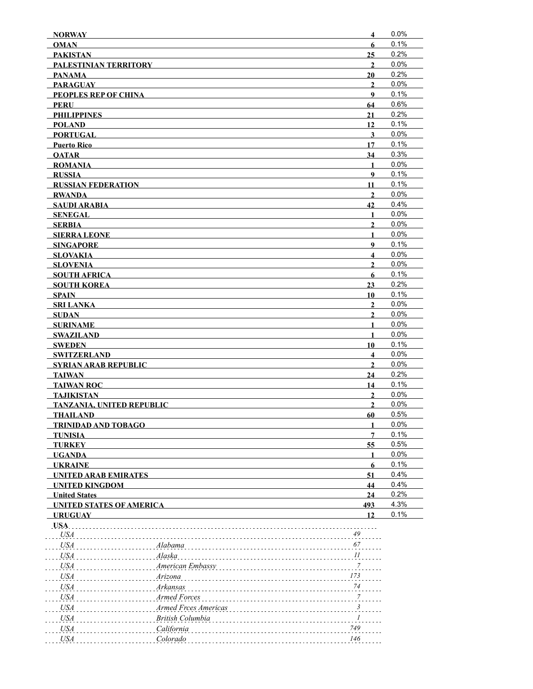| <b>NORWAY</b>                       |                      | $\overline{\mathbf{4}}$       | 0.0%         |
|-------------------------------------|----------------------|-------------------------------|--------------|
| <b>OMAN</b>                         |                      | 6                             | 0.1%         |
| <b>PAKISTAN</b>                     |                      | 25                            | 0.2%         |
| PALESTINIAN TERRITORY               |                      | $\overline{2}$                | 0.0%         |
| <b>PANAMA</b>                       |                      | 20                            | 0.2%         |
| <b>PARAGUAY</b>                     |                      | $\overline{2}$                | 0.0%         |
| PEOPLES REP OF CHINA                |                      | 9                             | 0.1%         |
| PERU                                |                      | 64                            | 0.6%         |
| <b>PHILIPPINES</b>                  |                      | 21                            | 0.2%         |
| <b>POLAND</b>                       |                      | 12                            | 0.1%         |
| <b>PORTUGAL</b>                     |                      | $\overline{\mathbf{3}}$       | 0.0%         |
| <b>Puerto Rico</b>                  |                      | 17                            | 0.1%         |
| <b>QATAR</b>                        |                      | 34                            | 0.3%         |
| <b>ROMANIA</b>                      |                      | $\mathbf{1}$                  | 0.0%         |
| <b>RUSSIA</b>                       |                      | 9                             | 0.1%         |
| <b>RUSSIAN FEDERATION</b>           |                      | 11                            | 0.1%         |
| <b>RWANDA</b>                       |                      | $\overline{2}$                | 0.0%         |
| SAUDI ARABIA                        |                      | 42                            | 0.4%         |
| <b>SENEGAL</b>                      |                      | 1                             | 0.0%         |
| SERBIA                              |                      | $\mathbf{2}$                  | 0.0%         |
| <b>SIERRA LEONE</b>                 |                      | 1                             | 0.0%         |
| <b>SINGAPORE</b>                    |                      | 9                             | 0.1%         |
| <b>SLOVAKIA</b>                     |                      | $\overline{\mathbf{4}}$       | 0.0%         |
| <b>SLOVENIA</b>                     |                      | $\overline{2}$                | 0.0%         |
| <b>SOUTH AFRICA</b>                 |                      | $6\phantom{1}$                | 0.1%         |
| <b>SOUTH KOREA</b>                  |                      | 23                            | 0.2%         |
| <b>SPAIN</b>                        |                      | 10                            | 0.1%         |
| <b>SRI LANKA</b>                    |                      | $\overline{2}$                | 0.0%         |
| SUDAN                               |                      | $\overline{2}$                | 0.0%         |
| <b>SURINAME</b>                     |                      | 1                             | 0.0%         |
| <b>SWAZILAND</b>                    |                      | 1                             | 0.0%<br>0.1% |
| <b>SWEDEN</b><br><b>SWITZERLAND</b> |                      | 10<br>$\overline{\mathbf{4}}$ | 0.0%         |
| <b>SYRIAN ARAB REPUBLIC</b>         |                      | $\overline{2}$                | 0.0%         |
| <b>TAIWAN</b>                       |                      | 24                            | 0.2%         |
| <b>TAIWAN ROC</b>                   |                      | 14                            | 0.1%         |
| <b>TAJIKISTAN</b>                   |                      | $\mathbf{2}$                  | 0.0%         |
| <b>TANZANIA, UNITED REPUBLIC</b>    |                      | $\overline{2}$                | 0.0%         |
| <b>THAILAND</b>                     |                      | 60                            | 0.5%         |
| <b>TRINIDAD AND TOBAGO</b>          |                      | 1                             | 0.0%         |
| <b>TUNISIA</b>                      |                      | 7                             | 0.1%         |
| <b>TURKEY</b>                       |                      | 55                            | 0.5%         |
| <b>UGANDA</b>                       |                      | 1                             | 0.0%         |
| <b>UKRAINE</b>                      |                      | 6                             | 0.1%         |
| <b>UNITED ARAB EMIRATES</b>         |                      | 51                            | 0.4%         |
| <b>UNITED KINGDOM</b>               |                      | 44                            | 0.4%         |
| <b>United States</b>                |                      | 24                            | 0.2%         |
| <b>UNITED STATES OF AMERICA</b>     |                      | 493                           | 4.3%         |
| <b>URUGUAY</b>                      |                      | 12                            | 0.1%         |
| USA.                                |                      |                               |              |
| <b>USA</b>                          |                      | 49                            |              |
| USA                                 | Alabama              | 67                            |              |
| USA                                 | Alaska               | 11                            |              |
| USA                                 | American Embassy     | $\overline{7}$                |              |
| USA                                 | Arizona              | $173\,$                       |              |
| USA                                 | Arkansas             | 74                            |              |
| USA                                 | Armed Forces         | $\frac{7}{100}$               |              |
| USA                                 | Armed Frces Americas | $\frac{3}{2}$                 |              |
| USA                                 | British Columbia     | $\boldsymbol{l}$              |              |
| USA                                 | California           | $749\,$                       |              |
| USA                                 | Colorado             | 146                           |              |
|                                     |                      |                               |              |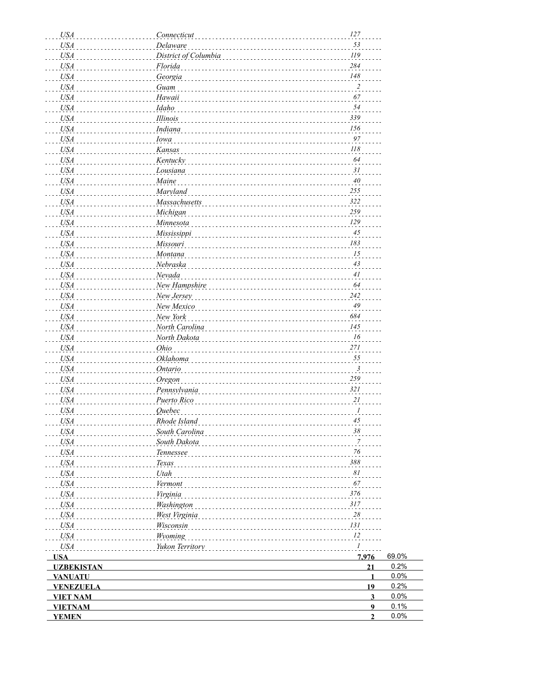| <b>USA</b>        | Connecticut          | $127\,$                         |       |
|-------------------|----------------------|---------------------------------|-------|
| <b>USA</b>        | Delaware             | 53                              |       |
| <b>USA</b>        | District of Columbia | $\bar{I}19$                     |       |
| <b>USA</b>        | Florida              | 284                             |       |
| <b>USA</b>        | Georgia              | $148\,$                         |       |
| <b>USA</b>        | Guam                 | $\overline{2}$                  |       |
| <b>USA</b>        | Hawaii               | 67                              |       |
| <b>USA</b>        | Idaho                | 54                              |       |
| <b>USA</b>        | Illinois             | 339                             |       |
| <b>USA</b>        | <b>Indiana</b>       | 156                             |       |
| <b>USA</b>        | Iowa                 | 97                              |       |
|                   |                      | $\it 118$                       |       |
| <b>USA</b>        | Kansas               | 64                              |       |
| <b>USA</b>        | Kentucky             |                                 |       |
| <b>USA</b>        | Lousiana             | 31                              |       |
| <b>USA</b>        | Maine                | $4\theta$                       |       |
| <b>USA</b>        | <b>Maryland</b>      | $255\,$                         |       |
| <b>USA</b>        | <b>Massachusetts</b> | 322                             |       |
| <b>USA</b>        | Michigan             | 259                             |       |
| <b>USA</b>        | Minnesota            | $\ensuremath{\mathnormal{129}}$ |       |
| <b>USA</b>        | Mississippi          | $45\,$                          |       |
| <b>USA</b>        | Missouri             | 183                             |       |
| <b>USA</b>        | Montana              | ${\it 15}$                      |       |
| <b>USA</b>        | Nebraska             | $43\,$                          |       |
| <b>USA</b>        | Nevada               | $4\mathit{l}$                   |       |
| <b>USA</b>        | New Hampshire        | 64                              |       |
| <b>USA</b>        | New Jersey           | 242                             |       |
| <b>USA</b>        | New Mexico           | $\sqrt{49}$                     |       |
| <b>USA</b>        | New York             | 684                             |       |
| <b>USA</b>        |                      | 145                             |       |
|                   | North Carolina       | 16                              |       |
| <b>USA</b>        | North Dakota         |                                 |       |
| <b>USA</b>        | Ohio                 | $271\,$                         |       |
| <b>USA</b>        | Oklahoma             | 55                              |       |
| <b>USA</b>        | <b>Ontario</b>       | $\mathfrak{Z}$                  |       |
| <b>USA</b>        | Oregon               | 259                             |       |
| <b>USA</b>        | Pennsylvania         | 321                             |       |
| <b>USA</b>        | Puerto Rico          | 21                              |       |
| <b>USA</b>        | <b>Ouebec</b>        | 1                               |       |
| <b>USA</b>        | Rhode Island         | 45                              |       |
| <b>USA</b>        | South Carolina       | 38                              |       |
| <b>USA</b>        | South Dakota         | $\overline{7}$                  |       |
| <b>USA</b>        | Tennessee            | 76                              |       |
| USA               | <b>Texas</b>         | 388                             |       |
| <b>USA</b>        | Utah                 | 81                              |       |
| <b>USA</b>        | Vermont              | 67                              |       |
| <b>USA</b>        | Virginia             | 376                             |       |
| <b>USA</b>        |                      | 317                             |       |
|                   | Washington           |                                 |       |
| <b>USA</b>        | West Virginia        | $28\,$                          |       |
| <b>USA</b>        | <b>Wisconsin</b>     | 131                             |       |
| <b>USA</b>        | Wyoming              | 12                              |       |
| $U\!S\!A$         | Yukon Territory      | $\mathcal{I}$                   |       |
| <b>USA</b>        |                      | 7,976                           | 69.0% |
| <b>UZBEKISTAN</b> |                      | 21                              | 0.2%  |
| <b>VANUATU</b>    |                      | $\mathbf{1}$                    | 0.0%  |
| <b>VENEZUELA</b>  |                      | 19                              | 0.2%  |
| <b>VIET NAM</b>   |                      | $\overline{\mathbf{3}}$         | 0.0%  |
| <b>VIETNAM</b>    |                      | $\boldsymbol{9}$                | 0.1%  |
| <b>YEMEN</b>      |                      | $\overline{2}$                  | 0.0%  |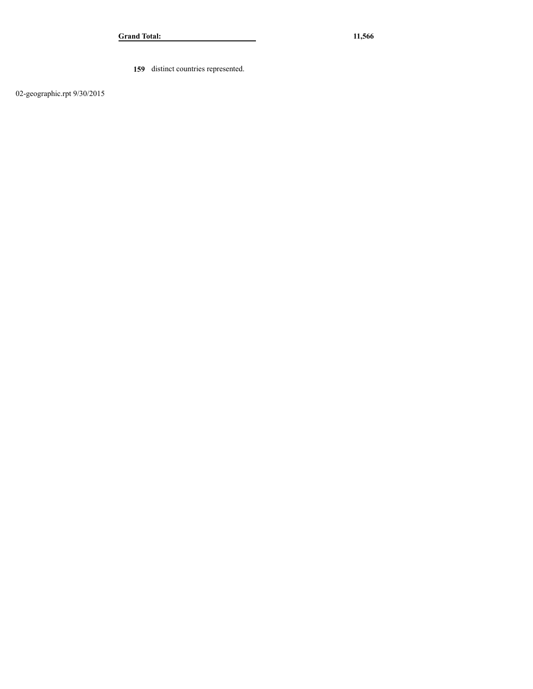**159** distinct countries represented.

02-geographic.rpt 9/30/2015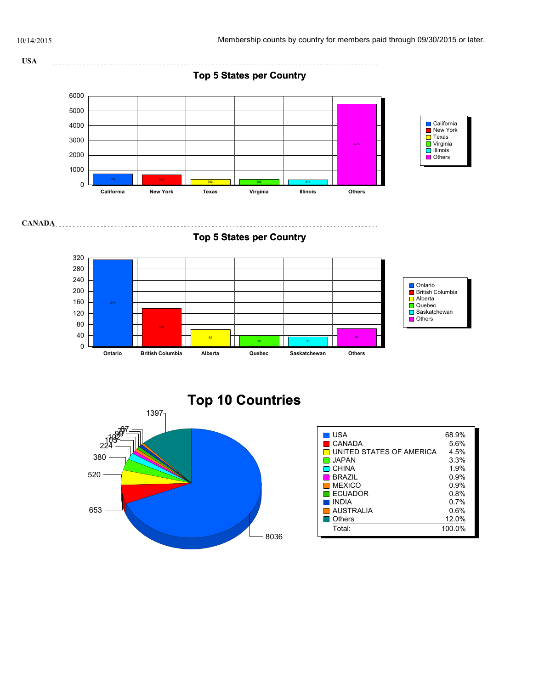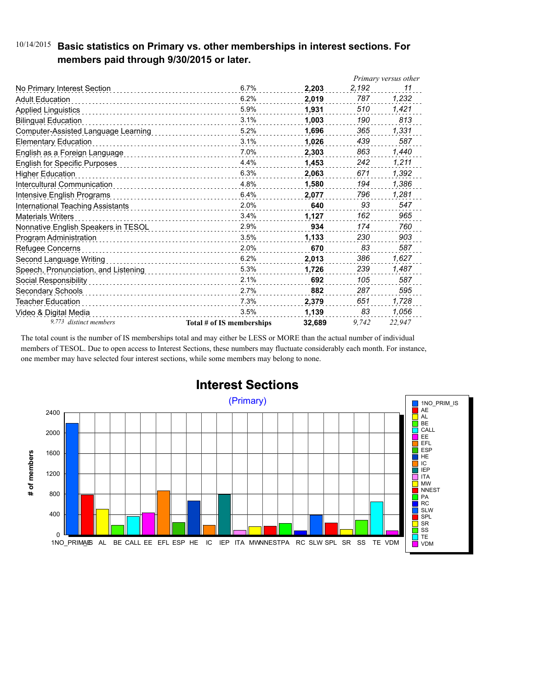### 10/14/2015 **Basic statistics on Primary vs. other memberships in interest sections. For members paid through 9/30/2015 or later.**

|                                      |                           |        | Primary versus other |        |
|--------------------------------------|---------------------------|--------|----------------------|--------|
| No Primary Interest Section          | 6.7%                      | 2.203  | 2,192                | 11     |
| <b>Adult Education</b>               | 6.2%                      | 2.019  | 787                  | 1,232  |
| <b>Applied Linguistics</b>           | 5.9%                      | 1,931  | 510                  | 1,421  |
| <b>Bilingual Education</b>           | 3.1%                      | 1,003  | 190                  | 813    |
| Computer-Assisted Language Learning  | 5.2%                      | 1,696  | 365                  | 1,331  |
| <b>Elementary Education</b>          | 3.1%                      | 1,026  | 439                  | 587    |
| English as a Foreign Language        | 7.0%                      | 2.303  | 863                  | 1,440  |
| <b>English for Specific Purposes</b> | 4.4%                      | 1.453  | 242                  | 1,211  |
| <b>Higher Education</b>              | 6.3%                      | 2,063  | 671                  | 1,392  |
| Intercultural Communication          | 4.8%                      | 1,580  | 194                  | 1,386  |
| Intensive English Programs           | 6.4%                      | 2,077  | 796                  | 1,281  |
| International Teaching Assistants    | 2.0%                      | 640    | 93                   | 547    |
| <b>Materials Writers</b>             | 3.4%<br>.                 | 1,127  | 162                  | 965    |
| Nonnative English Speakers in TESOL  | 2.9%                      | 934    | 174                  | 760    |
| Program Administration               | 3.5%                      | 1,133  | 230                  | 903    |
| Refugee Concerns                     | 2.0%                      | 670    | 83                   | 587    |
| Second Language Writing              | 6.2%<br>.                 | 2,013  | 386                  | 1,627  |
| Speech, Pronunciation, and Listening | 5.3%                      | 1,726  | 239                  | 1,487  |
| Social Responsibility                | 2.1%                      | 692    | 105                  | 587    |
| Secondary Schools                    | 2.7%                      | 882    | 287                  | 595    |
| Teacher Education                    | 7.3%                      | 2,379  | 651                  | 1,728  |
| Video & Digital Media                | 3.5%                      | 1,139  | 83                   | 1,056  |
| 9,773 distinct members               | Total # of IS memberships | 32,689 | 9.742                | 22.947 |

The total count is the number of IS memberships total and may either be LESS or MORE than the actual number of individual members of TESOL. Due to open access to Interest Sections, these numbers may fluctuate considerably each month. For instance, one member may have selected four interest sections, while some members may belong to none.



## **Interest Sections**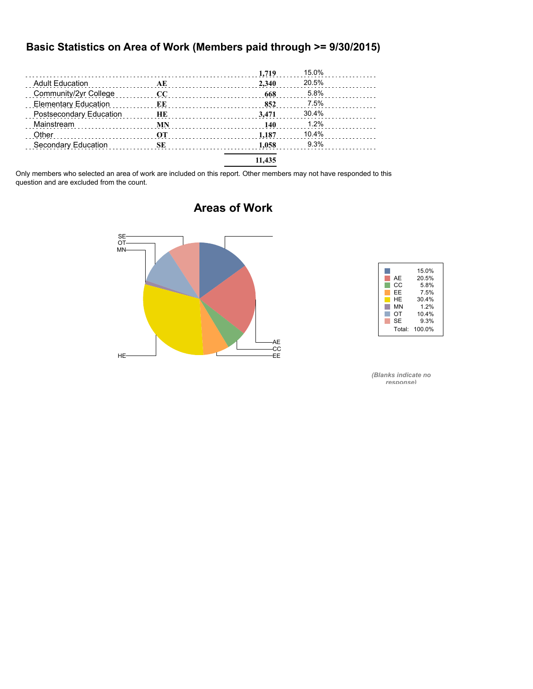#### **Basic Statistics on Area of Work (Members paid through >= 9/30/2015)**

|                                                                |           | 1,719  | 15.0% |  |
|----------------------------------------------------------------|-----------|--------|-------|--|
| <b>Adult Education</b><br>and a complete state of the state of | AE        | 2.340  | 20.5% |  |
| Community/2yr College                                          | $\bf CC$  | 668    | 5.8%  |  |
| <b>Elementary Education</b>                                    | ЕE        | 852    | 7.5%  |  |
| Postsecondary Education                                        | HЕ        | 3.471  | 30.4% |  |
| Mainstream                                                     | <b>MN</b> | 140    | 1.2%  |  |
| Other                                                          | OТ        | 1.187  | 10.4% |  |
| Secondary Education                                            | SЕ        | 1.058  | 9.3%  |  |
|                                                                |           | 11.435 |       |  |

Only members who selected an area of work are included on this report. Other members may not have responded to this question and are excluded from the count.



### **Areas of Work**



*(Blanks indicate no response)*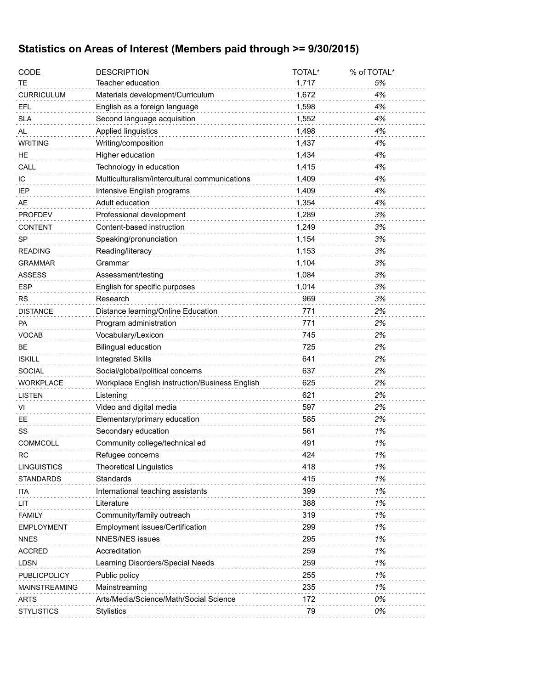## **Statistics on Areas of Interest (Members paid through >= 9/30/2015)**

| <b>CODE</b>          | <b>DESCRIPTION</b>                             | TOTAL* | % of TOTAL* |
|----------------------|------------------------------------------------|--------|-------------|
| TE                   | Teacher education                              | 1,717  | 5%          |
| <b>CURRICULUM</b>    | Materials development/Curriculum               | 1,672  | 4%          |
| EFL                  | English as a foreign language                  | 1,598  | 4%          |
| <b>SLA</b>           | Second language acquisition                    | 1,552  | 4%          |
| AL                   | Applied linguistics                            | 1,498  | 4%          |
| <b>WRITING</b>       | Writing/composition                            | 1,437  | 4%          |
| HE.                  | Higher education                               | 1,434  | 4%          |
| CALL                 | Technology in education                        | 1,415  | 4%          |
| IC                   | Multiculturalism/intercultural communications  | 1,409  | 4%          |
| IEP                  | Intensive English programs                     | 1,409  | 4%          |
| AE                   | Adult education                                | 1,354  | 4%          |
| <b>PROFDEV</b>       | Professional development                       | 1,289  | 3%          |
| <b>CONTENT</b>       | Content-based instruction                      | 1,249  | 3%          |
| <b>SP</b>            | Speaking/pronunciation                         | 1,154  | 3%          |
| <b>READING</b>       | Reading/literacy                               | 1,153  | 3%          |
| <b>GRAMMAR</b>       | Grammar                                        | 1,104  | 3%          |
| <b>ASSESS</b>        | Assessment/testing                             | 1,084  | 3%          |
| <b>ESP</b>           | English for specific purposes                  | 1,014  | 3%          |
| <b>RS</b>            | Research                                       | 969    | 3%          |
| <b>DISTANCE</b>      | Distance learning/Online Education             | 771    | 2%          |
| PA                   | Program administration                         | 771    | 2%          |
| VOCAB                | Vocabulary/Lexicon                             | 745    | 2%          |
| <b>BE</b>            | <b>Bilingual education</b>                     | 725    | 2%          |
| <b>ISKILL</b>        | <b>Integrated Skills</b>                       | 641    | 2%          |
| <b>SOCIAL</b>        | Social/global/political concerns               | 637    | 2%          |
| <b>WORKPLACE</b>     | Workplace English instruction/Business English | 625    | 2%          |
| <b>LISTEN</b>        | Listening                                      | 621    | 2%          |
| VI                   | Video and digital media                        | 597    | 2%          |
| EE                   | Elementary/primary education                   | 585    | 2%          |
| SS                   | Secondary education                            | 561    | 1%          |
| <b>COMMCOLL</b>      | Community college/technical ed                 | 491    | 1%          |
| <b>RC</b>            | Refugee concerns                               | 424    | 1%          |
| <b>LINGUISTICS</b>   | <b>Theoretical Linguistics</b>                 | 418    | 1%          |
| <b>STANDARDS</b>     | Standards                                      | 415    | 1%          |
| ita                  | International teaching assistants              | 399    | 1%          |
| LIT                  | Literature                                     | 388    | 1%          |
| <b>FAMILY</b>        | Community/family outreach                      | 319    | 1%          |
| <b>EMPLOYMENT</b>    | Employment issues/Certification                | 299    | 1%          |
| <b>NNES</b>          | <b>NNES/NES issues</b>                         | 295    | 1%          |
| <b>ACCRED</b>        | Accreditation                                  | 259    | 1%          |
| <b>LDSN</b>          | Learning Disorders/Special Needs               | 259    | 1%          |
| PUBLICPOLICY         | Public policy                                  | 255    | 1%          |
| <b>MAINSTREAMING</b> | Mainstreaming                                  | 235    | 1%          |
| <b>ARTS</b>          | Arts/Media/Science/Math/Social Science         | 172    | 0%          |
| <b>STYLISTICS</b>    | Stylistics                                     | 79     | 0%          |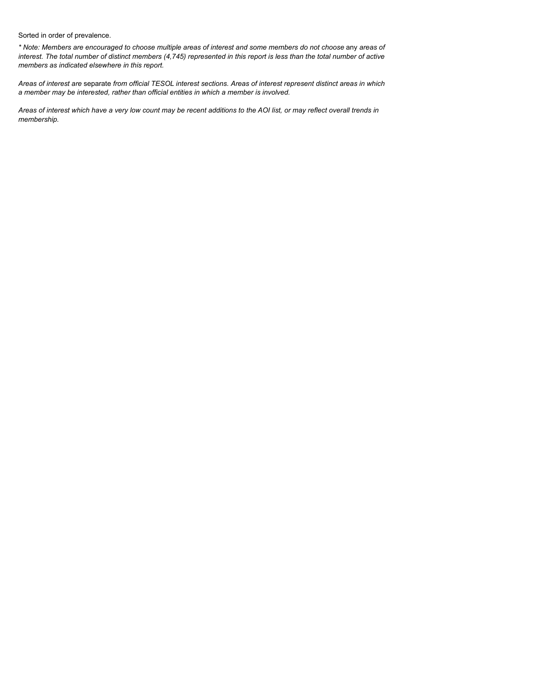Sorted in order of prevalence.

*\* Note: Members are encouraged to choose multiple areas of interest and some members do not choose* any *areas of interest. The total number of distinct members (4,745) represented in this report is less than the total number of active members as indicated elsewhere in this report.*

*Areas of interest are* separate *from official TESOL interest sections. Areas of interest represent distinct areas in which a member may be interested, rather than official entities in which a member is involved.*

*Areas of interest which have a very low count may be recent additions to the AOI list, or may reflect overall trends in membership.*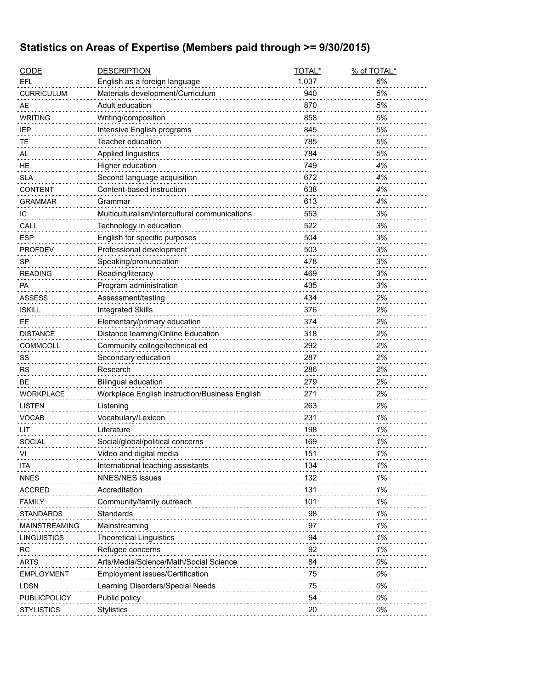## **Statistics on Areas of Expertise (Members paid through >= 9/30/2015)**

| <b>CODE</b>       | <b>DESCRIPTION</b>                             | TOTAL* | % of TOTAL* |
|-------------------|------------------------------------------------|--------|-------------|
| EFL               | English as a foreign language                  | 1,037  | 6%          |
| <b>CURRICULUM</b> | Materials development/Curriculum               | 940    | 5%          |
| AE                | Adult education                                | 870    | 5%          |
| <b>WRITING</b>    | Writing/composition                            | 858    | 5%          |
| IEP               | Intensive English programs                     | 845    | 5%          |
| TЕ                | Teacher education                              | 785    | 5%          |
| AL                | Applied linguistics                            | 784    | 5%          |
| HE                | Higher education                               | 749    | 4%          |
| <b>SLA</b>        | Second language acquisition                    | 672    | 4%          |
| <b>CONTENT</b>    | Content-based instruction                      | 638    | 4%          |
| GRAMMAR           | Grammar                                        | 613    | 4%          |
| ТC                | Multiculturalism/intercultural communications  | 553    | 3%          |
| CALL              | Technology in education                        | 522    | 3%          |
| <b>ESP</b>        | English for specific purposes                  | 504    | 3%          |
| <b>PROFDEV</b>    | Professional development                       | 503    | 3%          |
| <b>SP</b>         | Speaking/pronunciation                         | 478    | 3%          |
| <b>READING</b>    | Reading/literacy                               | 469    | 3%          |
| PA                | Program administration                         | 435    | 3%          |
| <b>ASSESS</b>     | Assessment/testing                             | 434    | 2%          |
| <b>ISKILL</b>     | <b>Integrated Skills</b>                       | 376    | 2%          |
| EE                | Elementary/primary education                   | 374    | 2%          |
| <b>DISTANCE</b>   | Distance learning/Online Education             | 318    | 2%          |
| COMMCOLL          | Community college/technical ed                 | 292    | 2%          |
| SS                | Secondary education                            | 287    | 2%          |
| RS                | Research                                       | 286    | 2%          |
| <b>BE</b>         | <b>Bilingual education</b>                     | 279    | 2%          |
| <b>WORKPLACE</b>  | Workplace English instruction/Business English | 271    | 2%          |
| <b>LISTEN</b>     | Listening                                      | 263    | 2%          |
| <b>VOCAB</b>      | Vocabulary/Lexicon                             | 231    | 1%          |
| LIT               | Literature                                     | 198    | 1%          |
| <b>SOCIAL</b>     | Social/global/political concerns               | 169    | 1%          |
| VI                | Video and digital media                        | 151    | 1%          |
| ITA               | International teaching assistants              | 134    | 1%          |
| <b>NNES</b>       | <b>NNES/NES issues</b>                         | 132    | 1%          |
| <b>ACCRED</b>     | Accreditation                                  | 131    | 1%          |
| <b>FAMILY</b>     | Community/family outreach                      | 101    | 1%          |
| STANDARDS         | Standards                                      | 98     | 1%          |
| MAINSTREAMING     | Mainstreaming                                  | 97     | 1%          |
| LINGUISTICS       | <b>Theoretical Linguistics</b>                 | 94     | 1%          |
| RC                | Refugee concerns                               | 92     | 1%          |
| <b>ARTS</b>       | Arts/Media/Science/Math/Social Science         | 84     | 0%          |
| <b>EMPLOYMENT</b> | Employment issues/Certification                | 75     | 0%          |
| <b>LDSN</b>       |                                                | 75     | 0%          |
|                   | Learning Disorders/Special Needs               | 54     |             |
| PUBLICPOLICY      | Public policy                                  |        | 0%          |
| <b>STYLISTICS</b> | <b>Stylistics</b>                              | 20     | 0%          |